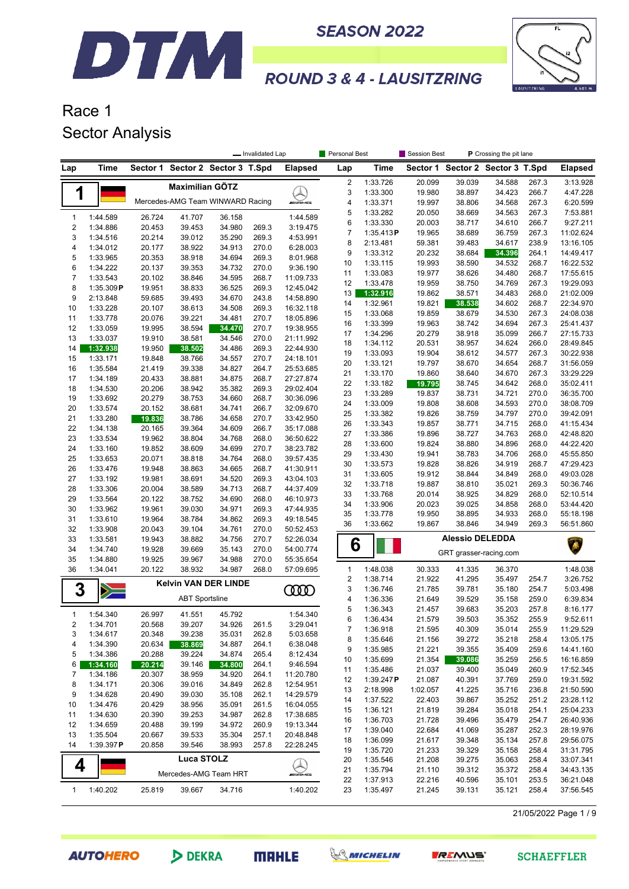



## Race 1 Sector Analysis

DTM

|                                                        |                                                       |                  |                                  |                         | - Invalidated Lap |                        | <b>Personal Best</b> |                      | P Crossing the pit lane<br><b>Session Best</b> |                                  |                  |                |                        |
|--------------------------------------------------------|-------------------------------------------------------|------------------|----------------------------------|-------------------------|-------------------|------------------------|----------------------|----------------------|------------------------------------------------|----------------------------------|------------------|----------------|------------------------|
| Lap                                                    | Time                                                  | Sector 1         |                                  | Sector 2 Sector 3 T.Spd |                   | <b>Elapsed</b>         | Lap                  | Time                 |                                                | Sector 1 Sector 2 Sector 3 T.Spd |                  |                | <b>Elapsed</b>         |
|                                                        |                                                       |                  | <b>Maximilian GÖTZ</b>           |                         |                   |                        | $\sqrt{2}$           | 1:33.726             | 20.099                                         | 39.039                           | 34.588           | 267.3          | 3:13.928               |
| 1                                                      |                                                       |                  |                                  |                         |                   |                        | 3                    | 1:33.300             | 19.980                                         | 38.897                           | 34.423           | 266.7          | 4:47.228               |
|                                                        |                                                       |                  | Mercedes-AMG Team WINWARD Racing |                         |                   | <b><i>INNE</i></b>     | 4                    | 1:33.371             | 19.997                                         | 38.806                           | 34.568           | 267.3          | 6:20.599               |
| $\mathbf{1}$                                           | 1:44.589                                              | 26.724           | 41.707                           | 36.158                  |                   | 1:44.589               | 5                    | 1:33.282             | 20.050                                         | 38.669                           | 34.563           | 267.3          | 7:53.881               |
| $\mathbf 2$                                            | 1:34.886                                              | 20.453           | 39.453                           | 34.980                  | 269.3             | 3:19.475               | 6                    | 1:33.330             | 20.003                                         | 38.717                           | 34.610           | 266.7          | 9:27.211               |
| 3                                                      | 1:34.516                                              | 20.214           | 39.012                           | 35.290                  | 269.3             | 4:53.991               | $\overline{7}$       | 1:35.413P            | 19.965                                         | 38.689                           | 36.759           | 267.3          | 11:02.624              |
| $\overline{\mathbf{4}}$                                | 1:34.012                                              | 20.177           | 38.922                           | 34.913                  | 270.0             | 6:28.003               | 8                    | 2:13.481             | 59.381                                         | 39.483                           | 34.617           | 238.9          | 13:16.105              |
| 5                                                      | 1:33.965                                              | 20.353           | 38.918                           | 34.694                  | 269.3             | 8:01.968               | 9                    | 1:33.312             | 20.232                                         | 38.684                           | 34.396           | 264.1          | 14:49.417              |
| 6                                                      | 1:34.222                                              | 20.137           | 39.353                           | 34.732                  | 270.0             | 9:36.190               | 10                   | 1:33.115             | 19.993                                         | 38.590                           | 34.532           | 268.7          | 16:22.532              |
| $\overline{7}$                                         | 1:33.543                                              | 20.102           | 38.846                           | 34.595                  | 268.7             | 11:09.733              | 11                   | 1:33.083             | 19.977                                         | 38.626                           | 34.480           | 268.7          | 17:55.615              |
| 8                                                      | 1:35.309P                                             | 19.951           | 38.833                           | 36.525                  | 269.3             | 12:45.042              | 12                   | 1:33.478             | 19.959                                         | 38.750                           | 34.769           | 267.3          | 19:29.093              |
| 9                                                      | 2:13.848                                              | 59.685           | 39.493                           | 34.670                  | 243.8             | 14:58.890              | 13                   | 1:32.916             | 19.862                                         | 38.571                           | 34.483           | 268.0          | 21:02.009              |
| 10                                                     | 1:33.228                                              | 20.107           | 38.613                           | 34.508                  | 269.3             | 16:32.118              | 14                   | 1:32.961             | 19.821                                         | 38.538                           | 34.602           | 268.7          | 22:34.970              |
| 11                                                     | 1:33.778                                              | 20.076           | 39.221                           | 34.481                  | 270.7             | 18:05.896              | 15                   | 1:33.068             | 19.859                                         | 38.679                           | 34.530           | 267.3<br>267.3 | 24:08.038              |
| 12                                                     | 1:33.059                                              | 19.995           | 38.594                           | 34.470                  | 270.7             | 19:38.955              | 16<br>17             | 1:33.399<br>1:34.296 | 19.963<br>20.279                               | 38.742<br>38.918                 | 34.694<br>35.099 | 266.7          | 25:41.437<br>27:15.733 |
| 13                                                     | 1:33.037                                              | 19.910           | 38.581                           | 34.546                  | 270.0             | 21:11.992              | 18                   | 1:34.112             | 20.531                                         | 38.957                           | 34.624           | 266.0          | 28:49.845              |
| 14                                                     | 1:32.938                                              | 19.950           | 38.502                           | 34.486                  | 269.3             | 22:44.930              | 19                   | 1:33.093             | 19.904                                         | 38.612                           | 34.577           | 267.3          | 30:22.938              |
| 15                                                     | 1:33.171                                              | 19.848           | 38.766                           | 34.557                  | 270.7             | 24:18.101              | 20                   | 1:33.121             | 19.797                                         | 38.670                           | 34.654           | 268.7          | 31:56.059              |
| 16                                                     | 1:35.584                                              | 21.419           | 39.338                           | 34.827                  | 264.7             | 25:53.685              | 21                   | 1:33.170             | 19.860                                         | 38.640                           | 34.670           | 267.3          | 33:29.229              |
| 17                                                     | 1:34.189                                              | 20.433           | 38.881                           | 34.875                  | 268.7             | 27:27.874              | 22                   | 1:33.182             | 19.795                                         | 38.745                           | 34.642           | 268.0          | 35:02.411              |
| 18                                                     | 1:34.530                                              | 20.206           | 38.942                           | 35.382                  | 269.3             | 29:02.404              | 23                   | 1:33.289             | 19.837                                         | 38.731                           | 34.721           | 270.0          | 36:35.700              |
| 19                                                     | 1:33.692                                              | 20.279           | 38.753                           | 34.660                  | 268.7             | 30:36.096              | 24                   | 1:33.009             | 19.808                                         | 38.608                           | 34.593           | 270.0          | 38:08.709              |
| 20                                                     | 1:33.574                                              | 20.152           | 38.681                           | 34.741                  | 266.7             | 32:09.670              | 25                   | 1:33.382             | 19.826                                         | 38.759                           | 34.797           | 270.0          | 39:42.091              |
| 21                                                     | 1:33.280                                              | 19.836           | 38.786                           | 34.658                  | 270.7             | 33:42.950              | 26                   | 1:33.343             | 19.857                                         | 38.771                           | 34.715           | 268.0          | 41:15.434              |
| 22                                                     | 1:34.138                                              | 20.165           | 39.364                           | 34.609                  | 266.7             | 35:17.088              | 27                   | 1:33.386             | 19.896                                         | 38.727                           | 34.763           | 268.0          | 42:48.820              |
| 23                                                     | 1:33.534                                              | 19.962           | 38.804                           | 34.768                  | 268.0             | 36:50.622              | 28                   | 1:33.600             | 19.824                                         | 38.880                           | 34.896           | 268.0          | 44:22.420              |
| 24<br>25                                               | 1:33.160<br>1:33.653                                  | 19.852<br>20.071 | 38.609<br>38.818                 | 34.699<br>34.764        | 270.7<br>268.0    | 38:23.782<br>39:57.435 | 29                   | 1:33.430             | 19.941                                         | 38.783                           | 34.706           | 268.0          | 45:55.850              |
| 26                                                     | 1:33.476                                              | 19.948           | 38.863                           | 34.665                  | 268.7             | 41:30.911              | 30                   | 1:33.573             | 19.828                                         | 38.826                           | 34.919           | 268.7          | 47:29.423              |
| 27                                                     | 1:33.192                                              | 19.981           | 38.691                           | 34.520                  | 269.3             | 43:04.103              | 31                   | 1:33.605             | 19.912                                         | 38.844                           | 34.849           | 268.0          | 49:03.028              |
| 28                                                     | 1:33.306                                              | 20.004           | 38.589                           | 34.713                  | 268.7             | 44:37.409              | 32                   | 1:33.718             | 19.887                                         | 38.810                           | 35.021           | 269.3          | 50:36.746              |
| 29                                                     | 1:33.564                                              | 20.122           | 38.752                           | 34.690                  | 268.0             | 46:10.973              | 33                   | 1:33.768             | 20.014                                         | 38.925                           | 34.829           | 268.0          | 52:10.514              |
| 30                                                     | 1:33.962                                              | 19.961           | 39.030                           | 34.971                  | 269.3             | 47:44.935              | 34                   | 1:33.906             | 20.023                                         | 39.025                           | 34.858           | 268.0          | 53:44.420              |
| 31                                                     | 1:33.610                                              | 19.964           | 38.784                           | 34.862                  | 269.3             | 49:18.545              | 35                   | 1:33.778             | 19.950                                         | 38.895                           | 34.933           | 268.0          | 55:18.198              |
| 32                                                     | 1:33.908                                              | 20.043           | 39.104                           | 34.761                  | 270.0             | 50:52.453              | 36                   | 1:33.662             | 19.867                                         | 38.846                           | 34.949           | 269.3          | 56:51.860              |
| 33                                                     | 1:33.581                                              | 19.943           | 38.882                           | 34.756                  | 270.7             | 52:26.034              |                      |                      |                                                | <b>Alessio DELEDDA</b>           |                  |                |                        |
| 34                                                     | 1:34.740                                              | 19.928           | 39.669                           | 35.143                  | 270.0             | 54:00.774              | 6                    |                      |                                                | Ä                                |                  |                |                        |
| 35                                                     | 1:34.880                                              | 19.925           | 39.967                           | 34.988                  | 270.0             | 55:35.654              |                      |                      |                                                | GRT grasser-racing.com           |                  |                |                        |
| 36                                                     | 1:34.041                                              | 20.122           | 38.932                           | 34.987                  | 268.0             | 57:09.695              | $\mathbf{1}$         | 1:48.038             | 30.333                                         | 41.335                           | 36.370           |                | 1:48.038               |
|                                                        |                                                       |                  | <b>Kelvin VAN DER LINDE</b>      |                         |                   |                        | $\sqrt{2}$           | 1:38.714             | 21.922                                         | 41.295                           | 35.497           | 254.7          | 3:26.752               |
| 3                                                      | $\geq$                                                |                  |                                  |                         |                   | ന്ത                    | 3                    | 1:36.746             | 21.785                                         | 39.781                           | 35.180           | 254.7          | 5:03.498               |
|                                                        |                                                       |                  | <b>ABT Sportsline</b>            |                         |                   |                        | 4                    | 1:36.336             | 21.649                                         | 39.529                           | 35.158           | 259.0          | 6:39.834               |
| 1                                                      | 1:54.340                                              | 26.997           | 41.551                           | 45.792                  |                   | 1:54.340               | 5                    | 1:36.343             | 21.457                                         | 39.683                           | 35.203           | 257.8          | 8:16.177               |
| $\overline{2}$                                         | 1:34.701                                              | 20.568           | 39.207                           | 34.926                  | 261.5             | 3:29.041               | 6                    | 1:36.434             | 21.579                                         | 39.503                           | 35.352           | 255.9          | 9:52.611               |
| 3                                                      | 1:34.617                                              | 20.348           | 39.238                           | 35.031                  | 262.8             | 5:03.658               | 7                    | 1:36.918             | 21.595                                         | 40.309                           | 35.014           | 255.9          | 11:29.529              |
| 4                                                      | 1:34.390                                              | 20.634           | 38.869                           | 34.887                  | 264.1             | 6:38.048               | 8                    | 1:35.646             | 21.156                                         | 39.272                           | 35.218           | 258.4          | 13:05.175              |
| 5                                                      | 1:34.386                                              | 20.288           | 39.224                           | 34.874                  | 265.4             | 8:12.434               | 9                    | 1:35.985             | 21.221                                         | 39.355<br>39.086                 | 35.409           | 259.6          | 14:41.160              |
| 6                                                      | 1:34.160                                              | 20.214           | 39.146                           | 34.800                  | 264.1             | 9:46.594               | 10                   | 1:35.699<br>1:35.486 | 21.354<br>21.037                               | 39.400                           | 35.259<br>35.049 | 256.5<br>260.9 | 16:16.859<br>17:52.345 |
| 7                                                      | 1:34.186                                              | 20.307           | 38.959                           | 34.920                  | 264.1             | 11:20.780              | 11<br>12             | 1:39.247P            | 21.087                                         | 40.391                           | 37.769           | 259.0          | 19:31.592              |
| 8                                                      | 1:34.171                                              | 20.306           | 39.016                           | 34.849                  | 262.8             | 12:54.951              | 13                   | 2:18.998             | 1:02.057                                       | 41.225                           | 35.716           | 236.8          | 21:50.590              |
| 9                                                      | 1:34.628                                              | 20.490           | 39.030                           | 35.108                  | 262.1             | 14:29.579              | 14                   | 1:37.522             | 22.403                                         | 39.867                           | 35.252           | 251.2          | 23:28.112              |
| 10                                                     | 1:34.476                                              | 20.429           | 38.956                           | 35.091                  | 261.5             | 16:04.055              | 15                   | 1:36.121             | 21.819                                         | 39.284                           | 35.018           | 254.1          | 25:04.233              |
| 11                                                     | 1:34.630                                              | 20.390           | 39.253                           | 34.987                  | 262.8             | 17:38.685              | 16                   | 1:36.703             | 21.728                                         | 39.496                           | 35.479           | 254.7          | 26:40.936              |
| 12                                                     | 1:34.659<br>20.488<br>39.199<br>34.972<br>260.9       |                  |                                  |                         | 19:13.344         | 17                     | 1:39.040             | 22.684               | 41.069                                         | 35.287                           | 252.3            | 28:19.976      |                        |
|                                                        | 13<br>1:35.504<br>35.304<br>257.1<br>20.667<br>39.533 |                  |                                  |                         |                   | 20:48.848              | 18                   | 1:36.099             | 21.617                                         | 39.348                           | 35.134           | 257.8          | 29:56.075              |
| 1:39.397P<br>20.858<br>38.993<br>257.8<br>14<br>39.546 |                                                       |                  |                                  |                         | 22:28.245         | 19                     | 1:35.720             | 21.233               | 39.329                                         | 35.158                           | 258.4            | 31:31.795      |                        |
| <b>Luca STOLZ</b>                                      |                                                       |                  |                                  |                         |                   | 20                     | 1:35.546             | 21.208               | 39.275                                         | 35.063                           | 258.4            | 33:07.341      |                        |
| 4<br>Mercedes-AMG Team HRT                             |                                                       |                  |                                  | WAMS                    | 21                | 1:35.794               | 21.110               | 39.312               | 35.372                                         | 258.4                            | 34:43.135        |                |                        |
|                                                        |                                                       |                  |                                  |                         |                   |                        | 22                   | 1:37.913             | 22.216                                         | 40.596                           | 35.101           | 253.5          | 36:21.048              |
| $\mathbf{1}$                                           | 1:40.202                                              | 25.819           | 39.667                           | 34.716                  |                   | 1:40.202               | 23                   | 1:35.497             | 21.245                                         | 39.131                           | 35.121           | 258.4          | 37:56.545              |

21/05/2022 Page 1 / 9

**AUTOHERO** 





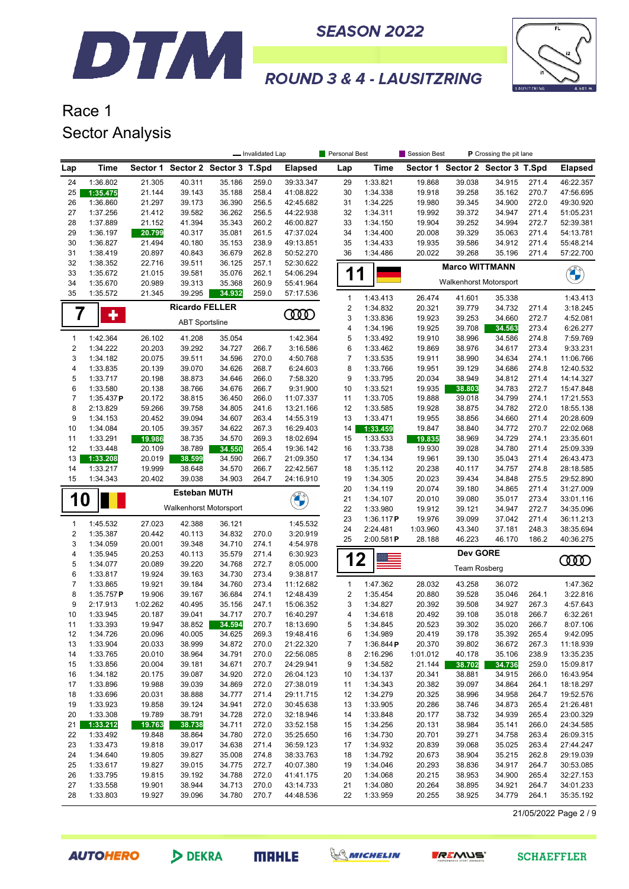



## Race 1 Sector Analysis

|                         |                      |                  | Personal Best<br>Session Best<br>P Crossing the pit lane<br>- Invalidated Lap |                                  |                |                        |                  |                      |                  |                                  |                  |                |                        |
|-------------------------|----------------------|------------------|-------------------------------------------------------------------------------|----------------------------------|----------------|------------------------|------------------|----------------------|------------------|----------------------------------|------------------|----------------|------------------------|
| Lap                     | <b>Time</b>          |                  |                                                                               | Sector 1 Sector 2 Sector 3 T.Spd |                | <b>Elapsed</b>         | Lap              | Time                 |                  | Sector 1 Sector 2 Sector 3 T.Spd |                  |                | <b>Elapsed</b>         |
| 24                      | 1:36.802             | 21.305           | 40.311                                                                        | 35.186                           | 259.0          | 39:33.347              | 29               | 1:33.821             | 19.868           | 39.038                           | 34.915           | 271.4          | 46:22.357              |
| 25                      | 1:35.475             | 21.144           | 39.143                                                                        | 35.188                           | 258.4          | 41:08.822              | 30               | 1:34.338             | 19.918           | 39.258                           | 35.162           | 270.7          | 47:56.695              |
| 26                      | 1:36.860             | 21.297           | 39.173                                                                        | 36.390                           | 256.5          | 42:45.682              | 31               | 1:34.225             | 19.980           | 39.345                           | 34.900           | 272.0          | 49:30.920              |
| 27                      | 1:37.256             | 21.412           | 39.582                                                                        | 36.262                           | 256.5          | 44:22.938              | 32               | 1:34.311             | 19.992           | 39.372                           | 34.947           | 271.4          | 51:05.231              |
| 28                      | 1:37.889             | 21.152           | 41.394                                                                        | 35.343                           | 260.2          | 46:00.827              | 33               | 1:34.150             | 19.904           | 39.252                           | 34.994           | 272.7          | 52:39.381              |
| 29                      | 1:36.197             | 20.799           | 40.317                                                                        | 35.081                           | 261.5          | 47:37.024              | 34               | 1:34.400             | 20.008           | 39.329                           | 35.063           | 271.4          | 54:13.781              |
| 30                      | 1:36.827             | 21.494           | 40.180                                                                        | 35.153                           | 238.9          | 49:13.851              | 35               | 1:34.433             | 19.935           | 39.586                           | 34.912           | 271.4          | 55:48.214              |
| 31                      | 1:38.419             | 20.897           | 40.843                                                                        | 36.679                           | 262.8          | 50:52.270              | 36               | 1:34.486             | 20.022           | 39.268                           | 35.196           | 271.4          | 57:22.700              |
| 32                      | 1:38.352             | 22.716           | 39.511                                                                        | 36.125                           | 257.1          | 52:30.622              |                  |                      |                  | <b>Marco WITTMANN</b>            |                  |                |                        |
| 33                      | 1:35.672             | 21.015           | 39.581                                                                        | 35.076                           | 262.1          | 54:06.294              | 1                |                      |                  |                                  |                  |                | <b>CHANGE</b>          |
| 34                      | 1:35.670             | 20.989           | 39.313                                                                        | 35.368                           | 260.9          | 55:41.964              |                  |                      |                  | <b>Walkenhorst Motorsport</b>    |                  |                |                        |
| 35                      | 1:35.572             | 21.345           | 39.295                                                                        | 34.932                           | 259.0          | 57:17.536              | $\mathbf{1}$     | 1:43.413             | 26.474           | 41.601                           | 35.338           |                | 1:43.413               |
|                         |                      |                  | <b>Ricardo FELLER</b>                                                         |                                  |                |                        | $\boldsymbol{2}$ | 1:34.832             | 20.321           | 39.779                           | 34.732           | 271.4          | 3:18.245               |
|                         | ٠                    |                  | <b>ABT Sportsline</b>                                                         |                                  |                | <b>COO</b>             | 3                | 1:33.836             | 19.923           | 39.253                           | 34.660           | 272.7          | 4:52.081               |
|                         |                      |                  |                                                                               |                                  |                |                        | 4                | 1:34.196             | 19.925           | 39.708                           | 34.563           | 273.4          | 6:26.277               |
| $\mathbf{1}$            | 1:42.364             | 26.102           | 41.208                                                                        | 35.054                           |                | 1:42.364               | 5                | 1:33.492             | 19.910           | 38.996                           | 34.586           | 274.8          | 7:59.769               |
| $\overline{c}$          | 1:34.222             | 20.203           | 39.292                                                                        | 34.727                           | 266.7          | 3:16.586               | 6                | 1:33.462             | 19.869           | 38.976                           | 34.617           | 273.4          | 9:33.231               |
| 3                       | 1:34.182             | 20.075           | 39.511                                                                        | 34.596                           | 270.0          | 4:50.768               | $\boldsymbol{7}$ | 1:33.535             | 19.911           | 38.990                           | 34.634           | 274.1          | 11:06.766              |
| $\overline{4}$          | 1:33.835             | 20.139           | 39.070                                                                        | 34.626                           | 268.7          | 6:24.603               | 8                | 1:33.766             | 19.951           | 39.129                           | 34.686           | 274.8          | 12:40.532              |
| 5                       | 1:33.717             | 20.198           | 38.873                                                                        | 34.646                           | 266.0          | 7:58.320               | 9                | 1:33.795             | 20.034           | 38.949                           | 34.812           | 271.4          | 14:14.327              |
| 6                       | 1:33.580             | 20.138           | 38.766                                                                        | 34.676                           | 266.7          | 9:31.900               | 10               | 1:33.521             | 19.935           | 38.803                           | 34.783           | 272.7          | 15:47.848              |
| $\overline{7}$          | $1:35.437$ P         | 20.172           | 38.815                                                                        | 36.450                           | 266.0          | 11:07.337              | 11               | 1:33.705             | 19.888           | 39.018                           | 34.799           | 274.1          | 17:21.553              |
| 8                       | 2:13.829             | 59.266           | 39.758                                                                        | 34.805                           | 241.6          | 13:21.166              | 12               | 1:33.585             | 19.928           | 38.875                           | 34.782           | 272.0          | 18:55.138              |
| 9                       | 1:34.153             | 20.452           | 39.094                                                                        | 34.607                           | 263.4          | 14:55.319              | 13               | 1:33.471             | 19.955           | 38.856                           | 34.660           | 271.4          | 20:28.609              |
| 10                      | 1:34.084             | 20.105           | 39.357                                                                        | 34.622                           | 267.3          | 16:29.403              | 14               | 1:33.459             | 19.847           | 38.840                           | 34.772           | 270.7          | 22:02.068              |
| 11                      | 1:33.291             | 19.986           | 38.735                                                                        | 34.570                           | 269.3          | 18:02.694              | 15               | 1:33.533             | 19.835           | 38.969                           | 34.729           | 274.1          | 23:35.601              |
| 12                      | 1:33.448             | 20.109<br>20.019 | 38.789                                                                        | 34.550<br>34.590                 | 265.4          | 19:36.142              | 16<br>17         | 1:33.738<br>1:34.134 | 19.930           | 39.028                           | 34.780           | 271.4<br>271.4 | 25:09.339<br>26:43.473 |
| 13<br>14                | 1:33.208<br>1:33.217 | 19.999           | 38.599                                                                        | 34.570                           | 266.7<br>266.7 | 21:09.350              | 18               | 1:35.112             | 19.961<br>20.238 | 39.130                           | 35.043<br>34.757 | 274.8          | 28:18.585              |
| 15                      | 1:34.343             | 20.402           | 38.648<br>39.038                                                              | 34.903                           | 264.7          | 22:42.567<br>24:16.910 | 19               | 1:34.305             | 20.023           | 40.117<br>39.434                 | 34.848           | 275.5          | 29:52.890              |
|                         |                      |                  |                                                                               |                                  |                |                        | 20               | 1:34.119             | 20.074           | 39.180                           | 34.865           | 271.4          | 31:27.009              |
| <b>10</b>               |                      |                  | <b>Esteban MUTH</b>                                                           |                                  |                | Ü                      | 21               | 1:34.107             | 20.010           | 39.080                           | 35.017           | 273.4          | 33:01.116              |
|                         |                      |                  | Walkenhorst Motorsport                                                        |                                  |                |                        | 22               | 1:33.980             | 19.912           | 39.121                           | 34.947           | 272.7          | 34:35.096              |
|                         |                      |                  |                                                                               |                                  |                |                        | 23               | 1:36.117P            | 19.976           | 39.099                           | 37.042           | 271.4          | 36:11.213              |
| $\mathbf{1}$            | 1:45.532             | 27.023           | 42.388                                                                        | 36.121                           |                | 1:45.532               | 24               | 2:24.481             | 1:03.960         | 43.340                           | 37.181           | 248.3          | 38:35.694              |
| $\overline{\mathbf{c}}$ | 1:35.387             | 20.442           | 40.113                                                                        | 34.832                           | 270.0          | 3:20.919               | 25               | 2:00.581P            | 28.188           | 46.223                           | 46.170           | 186.2          | 40:36.275              |
| 3                       | 1:34.059             | 20.001           | 39.348                                                                        | 34.710                           | 274.1          | 4:54.978               |                  |                      |                  | <b>Dev GORE</b>                  |                  |                |                        |
| 4<br>5                  | 1:35.945<br>1:34.077 | 20.253<br>20.089 | 40.113<br>39.220                                                              | 35.579<br>34.768                 | 271.4<br>272.7 | 6:30.923<br>8:05.000   | 12               |                      |                  |                                  |                  |                | ŒŒ                     |
| 6                       | 1:33.817             | 19.924           | 39.163                                                                        | 34.730                           | 273.4          | 9:38.817               |                  |                      |                  | <b>Team Rosberg</b>              |                  |                |                        |
| $\overline{7}$          | 1:33.865             | 19.921           | 39.184                                                                        | 34.760                           | 273.4          | 11:12.682              | $\mathbf{1}$     | 1:47.362             | 28.032           | 43.258                           | 36.072           |                | 1:47.362               |
| 8                       | $1:35.757$ P         | 19.906           | 39.167                                                                        | 36.684                           | 274.1          | 12:48.439              | $\overline{2}$   | 1:35.454             | 20.880           | 39.528                           | 35.046           | 264.1          | 3:22.816               |
| 9                       | 2:17.913             | 1:02.262         | 40.495                                                                        | 35.156                           | 247.1          | 15:06.352              | 3                | 1:34.827             | 20.392           | 39.508                           | 34.927           | 267.3          | 4:57.643               |
| 10                      | 1:33.945             | 20.187           | 39.041                                                                        | 34.717                           | 270.7          | 16:40.297              | 4                | 1:34.618             | 20.492           | 39.108                           | 35.018           | 266.7          | 6:32.261               |
| 11                      | 1:33.393             | 19.947           | 38.852                                                                        | 34.594                           | 270.7          | 18:13.690              | 5                | 1:34.845             | 20.523           | 39.302                           | 35.020           | 266.7          | 8:07.106               |
| 12                      | 1:34.726             | 20.096           | 40.005                                                                        | 34.625                           | 269.3          | 19:48.416              | 6                | 1:34.989             | 20.419           | 39.178                           | 35.392           | 265.4          | 9:42.095               |
| 13                      | 1:33.904             | 20.033           | 38.999                                                                        | 34.872                           | 270.0          | 21:22.320              | 7                | 1:36.844 $P$         | 20.370           | 39.802                           | 36.672           | 267.3          | 11:18.939              |
| 14                      | 1:33.765             | 20.010           | 38.964                                                                        | 34.791                           | 270.0          | 22:56.085              | 8                | 2:16.296             | 1:01.012         | 40.178                           | 35.106           | 238.9          | 13:35.235              |
| 15                      | 1:33.856             | 20.004           | 39.181                                                                        | 34.671                           | 270.7          | 24:29.941              | 9                | 1:34.582             | 21.144           | 38.702                           | 34.736           | 259.0          | 15:09.817              |
| 16                      | 1:34.182             | 20.175           | 39.087                                                                        | 34.920                           | 272.0          | 26:04.123              | 10               | 1:34.137             | 20.341           | 38.881                           | 34.915           | 266.0          | 16:43.954              |
| 17                      | 1:33.896             | 19.988           | 39.039                                                                        | 34.869                           | 272.0          | 27:38.019              | 11               | 1:34.343             | 20.382           | 39.097                           | 34.864           | 264.1          | 18:18.297              |
| 18                      | 1:33.696             | 20.031           | 38.888                                                                        | 34.777                           | 271.4          | 29:11.715              | 12               | 1:34.279             | 20.325           | 38.996                           | 34.958           | 264.7          | 19:52.576              |
| 19                      | 1:33.923             | 19.858           | 39.124                                                                        | 34.941                           | 272.0          | 30:45.638              | 13               | 1:33.905             | 20.286           | 38.746                           | 34.873           | 265.4          | 21:26.481              |
| 20                      | 1:33.308             | 19.789           | 38.791                                                                        | 34.728                           | 272.0          | 32:18.946              | 14               | 1:33.848             | 20.177           | 38.732                           | 34.939           | 265.4          | 23:00.329              |
| 21                      | 1:33.212             | 19.763           | 38.738                                                                        | 34.711                           | 272.0          | 33:52.158              | 15               | 1:34.256             | 20.131           | 38.984                           | 35.141           | 266.0          | 24:34.585              |
| 22                      | 1:33.492             | 19.848           | 38.864                                                                        | 34.780                           | 272.0          | 35:25.650              | 16               | 1:34.730             | 20.701           | 39.271                           | 34.758           | 263.4          | 26:09.315              |
| 23                      | 1:33.473             | 19.818           | 39.017                                                                        | 34.638                           | 271.4          | 36:59.123              | 17               | 1:34.932             | 20.839           | 39.068                           | 35.025           | 263.4          | 27:44.247              |
| 24                      | 1:34.640             | 19.805           | 39.827                                                                        | 35.008                           | 274.8          | 38:33.763              | 18               | 1:34.792             | 20.673           | 38.904                           | 35.215           | 262.8          | 29:19.039              |
| 25                      | 1:33.617             | 19.827           | 39.015                                                                        | 34.775                           | 272.7          | 40:07.380              | 19               | 1:34.046             | 20.293           | 38.836                           | 34.917           | 264.7          | 30:53.085              |
| 26                      | 1:33.795             | 19.815           | 39.192                                                                        | 34.788                           | 272.0          | 41:41.175              | 20               | 1:34.068             | 20.215           | 38.953                           | 34.900           | 265.4          | 32:27.153              |
| 27                      | 1:33.558             | 19.901           | 38.944                                                                        | 34.713                           | 270.0          | 43:14.733              | 21               | 1:34.080             | 20.264           | 38.895                           | 34.921           | 264.7          | 34:01.233              |
| 28                      | 1:33.803             | 19.927           | 39.096                                                                        | 34.780                           | 270.7          | 44:48.536              | 22               | 1:33.959             | 20.255           | 38.925                           | 34.779           | 264.1          | 35:35.192              |

21/05/2022 Page 2 / 9

**AUTOHERO** 

DEKRA





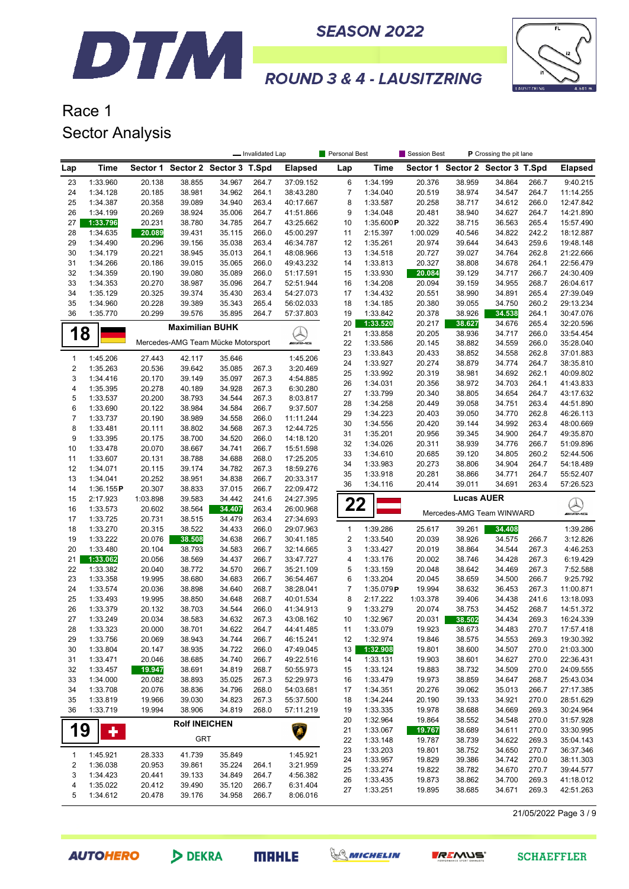

**SEASON 2022** 



## **ROUND 3 & 4 - LAUSITZRING**

## Race 1 Sector Analysis

|                              |                      |                  |                                    |                  | - Invalidated Lap |                        | Personal Best             |                      | Session Best<br>P Crossing the pit lane |                   |                                  |                |                           |
|------------------------------|----------------------|------------------|------------------------------------|------------------|-------------------|------------------------|---------------------------|----------------------|-----------------------------------------|-------------------|----------------------------------|----------------|---------------------------|
| Lap                          | Time                 |                  | Sector 1 Sector 2 Sector 3 T.Spd   |                  |                   | <b>Elapsed</b>         | Lap                       | Time                 |                                         |                   | Sector 1 Sector 2 Sector 3 T.Spd |                | <b>Elapsed</b>            |
| 23                           | 1:33.960             | 20.138           | 38.855                             | 34.967           | 264.7             | 37:09.152              | 6                         | 1:34.199             | 20.376                                  | 38.959            | 34.864                           | 266.7          | 9:40.215                  |
| 24                           | 1:34.128             | 20.185           | 38.981                             | 34.962           | 264.1             | 38:43.280              | 7                         | 1:34.040             | 20.519                                  | 38.974            | 34.547                           | 264.7          | 11:14.255                 |
| 25                           | 1:34.387             | 20.358           | 39.089                             | 34.940           | 263.4             | 40:17.667              | 8                         | 1:33.587             | 20.258                                  | 38.717            | 34.612                           | 266.0          | 12:47.842                 |
| 26                           | 1:34.199             | 20.269           | 38.924                             | 35.006           | 264.7             | 41:51.866              | 9                         | 1:34.048             | 20.481                                  | 38.940            | 34.627                           | 264.7          | 14:21.890                 |
| 27                           | 1:33.796             | 20.231           | 38.780                             | 34.785           | 264.7             | 43:25.662              | 10                        | 1:35.600P            | 20.322                                  | 38.715            | 36.563                           | 265.4          | 15:57.490                 |
| 28                           | 1:34.635             | 20.089           | 39.431                             | 35.115           | 266.0             | 45:00.297              | 11                        | 2:15.397             | 1:00.029                                | 40.546            | 34.822                           | 242.2          | 18:12.887                 |
| 29<br>30                     | 1:34.490<br>1:34.179 | 20.296<br>20.221 | 39.156<br>38.945                   | 35.038<br>35.013 | 263.4<br>264.1    | 46:34.787<br>48:08.966 | 12<br>13                  | 1:35.261<br>1:34.518 | 20.974<br>20.727                        | 39.644<br>39.027  | 34.643<br>34.764                 | 259.6<br>262.8 | 19:48.148<br>21:22.666    |
| 31                           | 1:34.266             | 20.186           | 39.015                             | 35.065           | 266.0             | 49:43.232              | 14                        | 1:33.813             | 20.327                                  | 38.808            | 34.678                           | 264.1          | 22:56.479                 |
| 32                           | 1:34.359             | 20.190           | 39.080                             | 35.089           | 266.0             | 51:17.591              | 15                        | 1:33.930             | 20.084                                  | 39.129            | 34.717                           | 266.7          | 24:30.409                 |
| 33                           | 1:34.353             | 20.270           | 38.987                             | 35.096           | 264.7             | 52:51.944              | 16                        | 1:34.208             | 20.094                                  | 39.159            | 34.955                           | 268.7          | 26:04.617                 |
| 34                           | 1:35.129             | 20.325           | 39.374                             | 35.430           | 263.4             | 54:27.073              | 17                        | 1:34.432             | 20.551                                  | 38.990            | 34.891                           | 265.4          | 27:39.049                 |
| 35                           | 1:34.960             | 20.228           | 39.389                             | 35.343           | 265.4             | 56:02.033              | 18                        | 1:34.185             | 20.380                                  | 39.055            | 34.750                           | 260.2          | 29:13.234                 |
| 36                           | 1:35.770             | 20.299           | 39.576                             | 35.895           | 264.7             | 57:37.803              | 19                        | 1:33.842             | 20.378                                  | 38.926            | 34.538                           | 264.1          | 30:47.076                 |
|                              |                      |                  | <b>Maximilian BUHK</b>             |                  |                   |                        | 20                        | 1:33.520             | 20.217                                  | 38.627            | 34.676                           | 265.4          | 32:20.596                 |
|                              | 8                    |                  |                                    |                  |                   | A)<br>Aliana           | 21                        | 1:33.858             | 20.205                                  | 38.936            | 34.717                           | 266.0          | 33:54.454                 |
|                              |                      |                  | Mercedes-AMG Team Mücke Motorsport |                  |                   |                        | 22                        | 1:33.586             | 20.145                                  | 38.882            | 34.559                           | 266.0          | 35:28.040                 |
| $\mathbf{1}$                 | 1:45.206             | 27.443           | 42.117                             | 35.646           |                   | 1:45.206               | 23                        | 1:33.843             | 20.433                                  | 38.852            | 34.558                           | 262.8          | 37:01.883                 |
| $\overline{2}$               | 1:35.263             | 20.536           | 39.642                             | 35.085           | 267.3             | 3:20.469               | 24                        | 1:33.927             | 20.274                                  | 38.879            | 34.774                           | 264.7          | 38:35.810                 |
| 3                            | 1:34.416             | 20.170           | 39.149                             | 35.097           | 267.3             | 4:54.885               | 25<br>26                  | 1:33.992<br>1:34.031 | 20.319<br>20.356                        | 38.981<br>38.972  | 34.692<br>34.703                 | 262.1<br>264.1 | 40:09.802<br>41:43.833    |
| 4                            | 1:35.395             | 20.278           | 40.189                             | 34.928           | 267.3             | 6:30.280               | 27                        | 1:33.799             | 20.340                                  | 38.805            | 34.654                           | 264.7          | 43:17.632                 |
| 5                            | 1:33.537             | 20.200           | 38.793                             | 34.544           | 267.3             | 8:03.817               | 28                        | 1:34.258             | 20.449                                  | 39.058            | 34.751                           | 263.4          | 44:51.890                 |
| 6                            | 1:33.690             | 20.122           | 38.984                             | 34.584           | 266.7             | 9:37.507               | 29                        | 1:34.223             | 20.403                                  | 39.050            | 34.770                           | 262.8          | 46:26.113                 |
| $\overline{7}$               | 1:33.737             | 20.190           | 38.989                             | 34.558           | 266.0             | 11:11.244              | 30                        | 1:34.556             | 20.420                                  | 39.144            | 34.992                           | 263.4          | 48:00.669                 |
| 8                            | 1:33.481             | 20.111           | 38.802                             | 34.568           | 267.3             | 12:44.725              | 31                        | 1:35.201             | 20.956                                  | 39.345            | 34.900                           | 264.7          | 49:35.870                 |
| 9<br>10                      | 1:33.395<br>1:33.478 | 20.175           | 38.700<br>38.667                   | 34.520<br>34.741 | 266.0<br>266.7    | 14:18.120<br>15:51.598 | 32                        | 1:34.026             | 20.311                                  | 38.939            | 34.776                           | 266.7          | 51:09.896                 |
| 11                           | 1:33.607             | 20.070<br>20.131 | 38.788                             | 34.688           | 268.0             | 17:25.205              | 33                        | 1:34.610             | 20.685                                  | 39.120            | 34.805                           | 260.2          | 52:44.506                 |
| 12                           | 1:34.071             | 20.115           | 39.174                             | 34.782           | 267.3             | 18:59.276              | 34                        | 1:33.983             | 20.273                                  | 38.806            | 34.904                           | 264.7          | 54:18.489                 |
| 13                           | 1:34.041             | 20.252           | 38.951                             | 34.838           | 266.7             | 20:33.317              | 35                        | 1:33.918             | 20.281                                  | 38.866            | 34.771                           | 264.7          | 55:52.407                 |
| 14                           | 1:36.155P            | 20.307           | 38.833                             | 37.015           | 266.7             | 22:09.472              | 36                        | 1:34.116             | 20.414                                  | 39.011            | 34.691                           | 263.4          | 57:26.523                 |
| 15                           | 2:17.923             | 1:03.898         | 39.583                             | 34.442           | 241.6             | 24:27.395              |                           |                      |                                         | <b>Lucas AUER</b> |                                  |                |                           |
| 16                           | 1:33.573             | 20.602           | 38.564                             | 34.407           | 263.4             | 26:00.968              | 22                        |                      |                                         |                   | Mercedes-AMG Team WINWARD        |                | $\bigotimes_{\mathbb{Z}}$ |
| 17                           | 1:33.725             | 20.731           | 38.515                             | 34.479           | 263.4             | 27:34.693              |                           |                      |                                         |                   |                                  |                |                           |
| 18                           | 1:33.270             | 20.315           | 38.522                             | 34.433           | 266.0             | 29:07.963              | $\mathbf{1}$              | 1:39.286             | 25.617                                  | 39.261            | 34.408                           |                | 1:39.286                  |
| 19                           | 1:33.222             | 20.076           | 38.508                             | 34.638           | 266.7             | 30:41.185              | $\overline{c}$            | 1:33.540             | 20.039                                  | 38.926            | 34.575                           | 266.7          | 3:12.826                  |
| 20                           | 1:33.480             | 20.104           | 38.793                             | 34.583           | 266.7             | 32:14.665              | 3                         | 1:33.427             | 20.019                                  | 38.864            | 34.544                           | 267.3          | 4:46.253                  |
| 21<br>22                     | 1:33.062<br>1:33.382 | 20.056<br>20.040 | 38.569<br>38.772                   | 34.437<br>34.570 | 266.7<br>266.7    | 33:47.727<br>35:21.109 | 4<br>5                    | 1:33.176<br>1:33.159 | 20.002<br>20.048                        | 38.746<br>38.642  | 34.428<br>34.469                 | 267.3<br>267.3 | 6:19.429<br>7:52.588      |
| 23                           | 1:33.358             | 19.995           | 38.680                             | 34.683           | 266.7             | 36:54.467              | 6                         | 1:33.204             | 20.045                                  | 38.659            | 34.500                           | 266.7          | 9:25.792                  |
| 24                           | 1:33.574             | 20.036           | 38.898                             | 34.640           | 268.7             | 38:28.041              | $\overline{\mathfrak{c}}$ | 1:35.079P            | 19.994                                  | 38.632            | 36.453                           | 267.3          | 11:00.871                 |
| 25                           | 1:33.493             | 19.995           | 38.850                             | 34.648           | 268.7             | 40:01.534              | 8                         | 2:17.222             | 1:03.378                                | 39.406            | 34.438                           | 241.6          | 13:18.093                 |
| 26                           | 1:33.379             | 20.132           | 38.703                             | 34.544           | 266.0             | 41:34.913              | 9                         | 1:33.279             | 20.074                                  | 38.753            | 34.452                           | 268.7          | 14:51.372                 |
| 27                           | 1:33.249             | 20.034           | 38.583                             | 34.632           | 267.3             | 43:08.162              | 10                        | 1:32.967             | 20.031                                  | 38.502            | 34.434                           | 269.3          | 16:24.339                 |
| 28                           | 1:33.323             | 20.000           | 38.701                             | 34.622           | 264.7             | 44:41.485              | 11                        | 1:33.079             | 19.923                                  | 38.673            | 34.483                           | 270.7          | 17:57.418                 |
| 29                           | 1:33.756             | 20.069           | 38.943                             | 34.744           | 266.7             | 46:15.241              | 12                        | 1:32.974             | 19.846                                  | 38.575            | 34.553                           | 269.3          | 19:30.392                 |
| 30                           | 1:33.804             | 20.147           | 38.935                             | 34.722           | 266.0             | 47:49.045              | 13                        | 1:32.908             | 19.801                                  | 38.600            | 34.507                           | 270.0          | 21:03.300                 |
| 31                           | 1:33.471             | 20.046           | 38.685                             | 34.740           | 266.7             | 49:22.516              | 14                        | 1:33.131             | 19.903                                  | 38.601            | 34.627                           | 270.0          | 22:36.431                 |
| 32                           | 1:33.457             | 19.947           | 38.691                             | 34.819           | 268.7             | 50:55.973              | 15                        | 1:33.124             | 19.883                                  | 38.732            | 34.509                           | 270.0          | 24:09.555                 |
| 33                           | 1:34.000             | 20.082           | 38.893                             | 35.025           | 267.3             | 52:29.973              | 16                        | 1:33.479             | 19.973                                  | 38.859            | 34.647                           | 268.7          | 25:43.034                 |
| 34                           | 1:33.708             | 20.076           | 38.836                             | 34.796           | 268.0             | 54:03.681              | 17                        | 1:34.351             | 20.276                                  | 39.062            | 35.013                           | 266.7          | 27:17.385                 |
| 35<br>36                     | 1:33.819<br>1:33.719 | 19.966<br>19.994 | 39.030                             | 34.823           | 267.3             | 55:37.500              | 18                        | 1:34.244             | 20.190                                  | 39.133            | 34.921                           | 270.0          | 28:51.629<br>30:24.964    |
|                              |                      |                  | 38.906                             | 34.819           | 268.0             | 57:11.219              | 19<br>20                  | 1:33.335<br>1:32.964 | 19.978<br>19.864                        | 38.688<br>38.552  | 34.669<br>34.548                 | 269.3<br>270.0 | 31:57.928                 |
| 19                           | ٠                    |                  | <b>Rolf INEICHEN</b>               |                  |                   | Â                      | 21                        | 1:33.067             | 19.767                                  | 38.689            | 34.611                           | 270.0          | 33:30.995                 |
|                              |                      |                  | <b>GRT</b>                         |                  |                   |                        | 22                        | 1:33.148             | 19.787                                  | 38.739            | 34.622                           | 269.3          | 35:04.143                 |
|                              |                      |                  |                                    |                  |                   |                        | 23                        | 1:33.203             | 19.801                                  | 38.752            | 34.650                           | 270.7          | 36:37.346                 |
| $\mathbf{1}$                 | 1:45.921             | 28.333           | 41.739                             | 35.849           |                   | 1:45.921               | 24                        | 1:33.957             | 19.829                                  | 39.386            | 34.742                           | 270.0          | 38:11.303                 |
| $\overline{\mathbf{c}}$<br>3 | 1:36.038             | 20.953           | 39.861                             | 35.224           | 264.1             | 3:21.959               | 25                        | 1:33.274             | 19.822                                  | 38.782            | 34.670                           | 270.7          | 39:44.577                 |
| 4                            | 1:34.423<br>1:35.022 | 20.441<br>20.412 | 39.133<br>39.490                   | 34.849<br>35.120 | 264.7<br>266.7    | 4:56.382<br>6:31.404   | 26                        | 1:33.435             | 19.873                                  | 38.862            | 34.700                           | 269.3          | 41:18.012                 |
| 5                            | 1:34.612             | 20.478           | 39.176                             | 34.958           | 266.7             | 8:06.016               | 27                        | 1:33.251             | 19.895                                  | 38.685            | 34.671                           | 269.3          | 42:51.263                 |
|                              |                      |                  |                                    |                  |                   |                        |                           |                      |                                         |                   |                                  |                |                           |

21/05/2022 Page 3 / 9







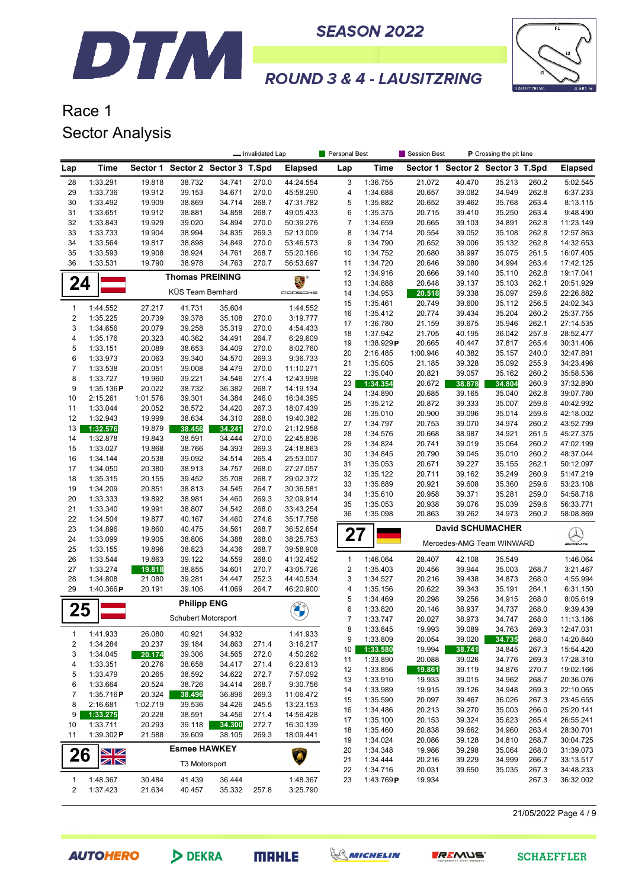

## Race 1 Sector Analysis

|                         |                      | - Invalidated Lap |                                  |                  |                |                        | Personal Best    |                       | Session Best<br><b>P</b> Crossing the pit lane |                  |                                  |                |                           |
|-------------------------|----------------------|-------------------|----------------------------------|------------------|----------------|------------------------|------------------|-----------------------|------------------------------------------------|------------------|----------------------------------|----------------|---------------------------|
| Lap                     | Time                 |                   | Sector 1 Sector 2 Sector 3 T.Spd |                  |                | <b>Elapsed</b>         | Lap              | Time                  |                                                |                  | Sector 1 Sector 2 Sector 3 T.Spd |                | <b>Elapsed</b>            |
| 28                      | 1:33.291             | 19.818            | 38.732                           | 34.741           | 270.0          | 44:24.554              | 3                | 1:36.755              | 21.072                                         | 40.470           | 35.213                           | 260.2          | 5:02.545                  |
| 29                      | 1:33.736             | 19.912            | 39.153                           | 34.671           | 270.0          | 45:58.290              | 4                | 1:34.688              | 20.657                                         | 39.082           | 34.949                           | 262.8          | 6:37.233                  |
| 30                      | 1:33.492             | 19.909            | 38.869                           | 34.714           | 268.7          | 47:31.782              | 5                | 1:35.882              | 20.652                                         | 39.462           | 35.768                           | 263.4          | 8:13.115                  |
| 31                      | 1:33.651             | 19.912            | 38.881                           | 34.858           | 268.7          | 49:05.433              | 6                | 1:35.375              | 20.715                                         | 39.410           | 35.250                           | 263.4          | 9:48.490                  |
| 32                      | 1:33.843             | 19.929            | 39.020                           | 34.894           | 270.0          | 50:39.276              | $\boldsymbol{7}$ | 1:34.659              | 20.665                                         | 39.103           | 34.891                           | 262.8          | 11:23.149                 |
| 33                      | 1:33.733             | 19.904            | 38.994                           | 34.835           | 269.3          | 52:13.009              | 8                | 1:34.714              | 20.554                                         | 39.052           | 35.108                           | 262.8          | 12:57.863                 |
| 34<br>35                | 1:33.564<br>1:33.593 | 19.817<br>19.908  | 38.898<br>38.924                 | 34.849<br>34.761 | 270.0<br>268.7 | 53:46.573<br>55:20.166 | 9<br>10          | 1:34.790<br>1:34.752  | 20.652<br>20.680                               | 39.006<br>38.997 | 35.132<br>35.075                 | 262.8<br>261.5 | 14:32.653<br>16:07.405    |
| 36                      | 1:33.531             | 19.790            | 38.978                           | 34.763           | 270.7          | 56:53.697              | 11               | 1:34.720              | 20.646                                         | 39.080           | 34.994                           | 263.4          | 17:42.125                 |
|                         |                      |                   |                                  |                  |                |                        | 12               | 1:34.916              | 20.666                                         | 39.140           | 35.110                           | 262.8          | 19:17.041                 |
| 24                      |                      |                   | <b>Thomas PREINING</b>           |                  |                |                        | 13               | 1:34.888              | 20.648                                         | 39.137           | 35.103                           | 262.1          | 20:51.929                 |
|                         |                      |                   | KÜS Team Bernhard                |                  |                | PORSCHE                | 14               | 1:34.953              | 20.518                                         | 39.338           | 35.097                           | 259.6          | 22:26.882                 |
| 1                       | 1:44.552             | 27.217            | 41.731                           | 35.604           |                | 1:44.552               | 15               | 1:35.461              | 20.749                                         | 39.600           | 35.112                           | 256.5          | 24:02.343                 |
| $\boldsymbol{2}$        | 1:35.225             | 20.739            | 39.378                           | 35.108           | 270.0          | 3:19.777               | 16               | 1:35.412              | 20.774                                         | 39.434           | 35.204                           | 260.2          | 25:37.755                 |
| 3                       | 1:34.656             | 20.079            | 39.258                           | 35.319           | 270.0          | 4:54.433               | 17               | 1:36.780              | 21.159                                         | 39.675           | 35.946                           | 262.1          | 27:14.535                 |
| 4                       | 1:35.176             | 20.323            | 40.362                           | 34.491           | 264.7          | 6:29.609               | 18               | 1:37.942              | 21.705<br>20.665                               | 40.195           | 36.042<br>37.817                 | 257.8<br>265.4 | 28:52.477<br>30:31.406    |
| 5                       | 1:33.151             | 20.089            | 38.653                           | 34.409           | 270.0          | 8:02.760               | 19<br>20         | 1:38.929P<br>2:16.485 | 1:00.946                                       | 40.447<br>40.382 | 35.157                           | 240.0          | 32:47.891                 |
| 6                       | 1:33.973             | 20.063            | 39.340                           | 34.570           | 269.3          | 9:36.733               | 21               | 1:35.605              | 21.185                                         | 39.328           | 35.092                           | 255.9          | 34:23.496                 |
| $\overline{7}$          | 1:33.538             | 20.051            | 39.008                           | 34.479           | 270.0          | 11:10.271              | 22               | 1:35.040              | 20.821                                         | 39.057           | 35.162                           | 260.2          | 35:58.536                 |
| 8                       | 1:33.727             | 19.960            | 39.221                           | 34.546           | 271.4          | 12:43.998              | 23               | 1:34.354              | 20.672                                         | 38.878           | 34.804                           | 260.9          | 37:32.890                 |
| 9                       | 1:35.136P            | 20.022            | 38.732                           | 36.382           | 268.7          | 14:19.134              | 24               | 1:34.890              | 20.685                                         | 39.165           | 35.040                           | 262.8          | 39:07.780                 |
| 10                      | 2:15.261             | 1:01.576          | 39.301                           | 34.384           | 246.0          | 16:34.395              | 25               | 1:35.212              | 20.872                                         | 39.333           | 35.007                           | 259.6          | 40:42.992                 |
| 11                      | 1:33.044             | 20.052            | 38.572                           | 34.420           | 267.3          | 18:07.439              | 26               | 1:35.010              | 20.900                                         | 39.096           | 35.014                           | 259.6          | 42:18.002                 |
| 12                      | 1:32.943             | 19.999            | 38.634                           | 34.310           | 268.0          | 19:40.382              | 27               | 1:34.797              | 20.753                                         | 39.070           | 34.974                           | 260.2          | 43:52.799                 |
| 13                      | 1:32.576             | 19.879            | 38.456                           | 34.241           | 270.0          | 21:12.958              | 28               | 1:34.576              | 20.668                                         | 38.987           | 34.921                           | 261.5          | 45:27.375                 |
| 14                      | 1:32.878             | 19.843            | 38.591                           | 34.444           | 270.0          | 22:45.836              | 29               | 1:34.824              | 20.741                                         | 39.019           | 35.064                           | 260.2          | 47:02.199                 |
| 15<br>16                | 1:33.027<br>1:34.144 | 19.868            | 38.766<br>39.092                 | 34.393<br>34.514 | 269.3<br>265.4 | 24:18.863<br>25:53.007 | 30               | 1:34.845              | 20.790                                         | 39.045           | 35.010                           | 260.2          | 48:37.044                 |
| 17                      | 1:34.050             | 20.538<br>20.380  | 38.913                           | 34.757           | 268.0          | 27:27.057              | 31               | 1:35.053              | 20.671                                         | 39.227           | 35.155                           | 262.1          | 50:12.097                 |
| 18                      | 1:35.315             | 20.155            | 39.452                           | 35.708           | 268.7          | 29:02.372              | 32               | 1:35.122              | 20.711                                         | 39.162           | 35.249                           | 260.9          | 51:47.219                 |
| 19                      | 1:34.209             | 20.851            | 38.813                           | 34.545           | 264.7          | 30:36.581              | 33               | 1:35.889              | 20.921                                         | 39.608           | 35.360                           | 259.6          | 53:23.108                 |
| 20                      | 1:33.333             | 19.892            | 38.981                           | 34.460           | 269.3          | 32:09.914              | 34               | 1:35.610              | 20.958                                         | 39.371           | 35.281                           | 259.0          | 54:58.718                 |
| 21                      | 1:33.340             | 19.991            | 38.807                           | 34.542           | 268.0          | 33:43.254              | 35               | 1:35.053              | 20.938                                         | 39.076           | 35.039                           | 259.6          | 56:33.771                 |
| 22                      | 1:34.504             | 19.877            | 40.167                           | 34.460           | 274.8          | 35:17.758              | 36               | 1:35.098              | 20.863                                         | 39.262           | 34.973                           | 260.2          | 58:08.869                 |
| 23                      | 1:34.896             | 19.860            | 40.475                           | 34.561           | 268.7          | 36:52.654              |                  |                       |                                                |                  | <b>David SCHUMACHER</b>          |                |                           |
| 24                      | 1:33.099             | 19.905            | 38.806                           | 34.388           | 268.0          | 38:25.753              | 27               |                       |                                                |                  | Mercedes-AMG Team WINWARD        |                | $\bigotimes_{\mathbb{Z}}$ |
| 25                      | 1:33.155             | 19.896            | 38.823                           | 34.436           | 268.7          | 39:58.908              |                  |                       |                                                |                  |                                  |                |                           |
| 26                      | 1:33.544             | 19.863            | 39.122                           | 34.559           | 268.0          | 41:32.452              | $\mathbf{1}$     | 1:46.064              | 28.407                                         | 42.108           | 35.549                           |                | 1:46.064                  |
| 27                      | 1:33.274             | 19.818            | 38.855                           | 34.601           | 270.7          | 43:05.726              | $\overline{2}$   | 1:35.403              | 20.456                                         | 39.944           | 35.003                           | 268.7          | 3:21.467                  |
| 28                      | 1:34.808             | 21.080            | 39.281                           | 34.447           | 252.3          | 44:40.534              | 3                | 1:34.527              | 20.216                                         | 39.438           | 34.873                           | 268.0          | 4:55.994                  |
| 29                      | 1:40.366P            | 20.191            | 39.106                           | 41.069           | 264.7          | 46:20.900              | 4                | 1:35.156              | 20.622                                         | 39.343           | 35.191                           | 264.1          | 6:31.150                  |
|                         |                      |                   | <b>Philipp ENG</b>               |                  |                |                        | 5                | 1:34.469              | 20.298                                         | 39.256           | 34.915                           | 268.0          | 8:05.619                  |
| 25                      |                      |                   |                                  |                  |                | <b>BALLS</b>           | 6                | 1:33.820              | 20.146                                         | 38.937           | 34.737                           | 268.0          | 9:39.439                  |
|                         |                      |                   | Schubert Motorsport              |                  |                |                        | 7                | 1:33.747              | 20.027                                         | 38.973           | 34.747                           | 268.0          | 11:13.186                 |
| 1                       | 1:41.933             | 26.080            | 40.921                           | 34.932           |                | 1:41.933               | 8                | 1:33.845              | 19.993                                         | 39.089           | 34.763                           | 269.3          | 12:47.031<br>14:20.840    |
| $\overline{\mathbf{c}}$ | 1:34.284             | 20.237            | 39.184                           | 34.863           | 271.4          | 3:16.217               | 9                | 1:33.809              | 20.054                                         | 39.020           | 34.735                           | 268.0          |                           |
| 3                       | 1:34.045             | 20.174            | 39.306                           | 34.565           | 272.0          | 4:50.262               | 10               | 1:33.580              | 19.994                                         | 38.741           | 34.845                           | 267.3          | 15:54.420<br>17:28.310    |
| 4                       | 1:33.351             | 20.276            | 38.658                           | 34.417           | 271.4          | 6:23.613               | 11<br>12         | 1:33.890<br>1:33.856  | 20.088                                         | 39.026<br>39.119 | 34.776<br>34.876                 | 269.3<br>270.7 | 19:02.166                 |
| 5                       | 1:33.479             | 20.265            | 38.592                           | 34.622           | 272.7          | 7:57.092               | 13               | 1:33.910              | 19.861<br>19.933                               | 39.015           | 34.962                           | 268.7          | 20:36.076                 |
| 6                       | 1:33.664             | 20.524            | 38.726                           | 34.414           | 268.7          | 9:30.756               | 14               | 1:33.989              | 19.915                                         | 39.126           | 34.948                           | 269.3          | 22:10.065                 |
| 7                       | 1:35.716P            | 20.324            | 38.496                           | 36.896           | 269.3          | 11:06.472              | 15               | 1:35.590              | 20.097                                         | 39.467           | 36.026                           | 267.3          | 23:45.655                 |
| 8                       | 2:16.681             | 1:02.719          | 39.536                           | 34.426           | 245.5          | 13:23.153              | 16               | 1:34.486              | 20.213                                         | 39.270           | 35.003                           | 266.0          | 25:20.141                 |
| 9                       | 1:33.275             | 20.228            | 38.591                           | 34.456           | 271.4          | 14:56.428              | 17               | 1:35.100              | 20.153                                         | 39.324           | 35.623                           | 265.4          | 26:55.241                 |
| 10                      | 1:33.711             | 20.293            | 39.118                           | 34.300           | 272.7          | 16:30.139              | 18               | 1:35.460              | 20.838                                         | 39.662           | 34.960                           | 263.4          | 28:30.701                 |
| 11                      | 1:39.302P            | 21.588            | 39.609                           | 38.105           | 269.3          | 18:09.441              | 19               | 1:34.024              | 20.086                                         | 39.128           | 34.810                           | 268.7          | 30:04.725                 |
|                         | NZ                   |                   | <b>Esmee HAWKEY</b>              |                  |                |                        | 20               | 1:34.348              | 19.986                                         | 39.298           | 35.064                           | 268.0          | 31:39.073                 |
| 26                      | ZN                   |                   | <b>T3 Motorsport</b>             |                  |                |                        | 21               | 1:34.444              | 20.216                                         | 39.229           | 34.999                           | 266.7          | 33:13.517                 |
|                         |                      |                   |                                  |                  |                |                        | 22               | 1:34.716              | 20.031                                         | 39.650           | 35.035                           | 267.3          | 34:48.233                 |
| 1                       | 1:48.367             | 30.484            | 41.439                           | 36.444           |                | 1:48.367               | 23               | 1:43.769P             | 19.934                                         |                  |                                  | 267.3          | 36:32.002                 |
| 2                       | 1:37.423             | 21.634            | 40.457                           | 35.332           | 257.8          | 3:25.790               |                  |                       |                                                |                  |                                  |                |                           |

21/05/2022 Page 4 / 9





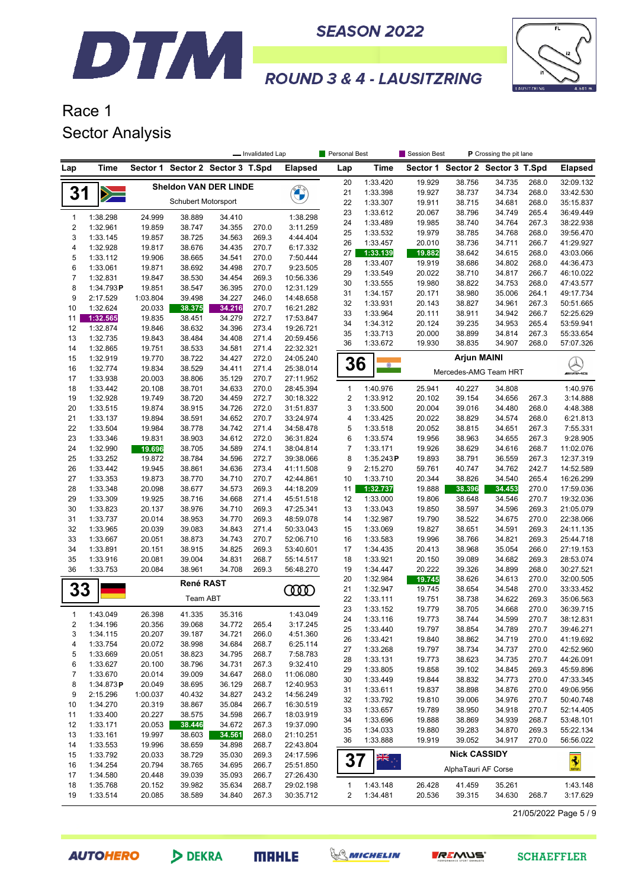



## Race 1 Sector Analysis

DTM

|                  |                      | - Invalidated Lap  |                                  |                  |                |                        | <b>Personal Best</b>         |                      | Session Best<br>P Crossing the pit lane |                                  |                  |                |                        |
|------------------|----------------------|--------------------|----------------------------------|------------------|----------------|------------------------|------------------------------|----------------------|-----------------------------------------|----------------------------------|------------------|----------------|------------------------|
| Lap              | Time                 |                    | Sector 1 Sector 2 Sector 3 T.Spd |                  |                | <b>Elapsed</b>         | Lap                          | Time                 |                                         | Sector 1 Sector 2 Sector 3 T.Spd |                  |                | <b>Elapsed</b>         |
|                  |                      |                    | <b>Sheldon VAN DER LINDE</b>     |                  |                |                        | 20                           | 1:33.420             | 19.929                                  | 38.756                           | 34.735           | 268.0          | 32:09.132              |
| 31               | $\geqslant$          |                    |                                  |                  |                | <b>CALLES</b>          | 21                           | 1:33.398             | 19.927                                  | 38.737                           | 34.734           | 268.0          | 33:42.530              |
|                  |                      |                    | <b>Schubert Motorsport</b>       |                  |                |                        | 22                           | 1:33.307             | 19.911                                  | 38.715                           | 34.681           | 268.0          | 35:15.837              |
| $\mathbf{1}$     | 1:38.298             | 24.999             | 38.889                           | 34.410           |                | 1:38.298               | 23                           | 1:33.612             | 20.067                                  | 38.796                           | 34.749           | 265.4          | 36:49.449              |
| $\overline{2}$   | 1:32.961             | 19.859             | 38.747                           | 34.355           | 270.0          | 3:11.259               | 24                           | 1:33.489             | 19.985                                  | 38.740                           | 34.764           | 267.3          | 38:22.938              |
| 3                | 1:33.145             | 19.857             | 38.725                           | 34.563           | 269.3          | 4:44.404               | 25<br>26                     | 1:33.532<br>1:33.457 | 19.979<br>20.010                        | 38.785<br>38.736                 | 34.768<br>34.711 | 268.0<br>266.7 | 39:56.470<br>41:29.927 |
| 4                | 1:32.928             | 19.817             | 38.676                           | 34.435           | 270.7          | 6:17.332               | 27                           | 1:33.139             | 19.882                                  | 38.642                           | 34.615           | 268.0          | 43:03.066              |
| 5                | 1:33.112             | 19.906             | 38.665                           | 34.541           | 270.0          | 7:50.444               | 28                           | 1:33.407             | 19.919                                  | 38.686                           | 34.802           | 268.0          | 44:36.473              |
| 6                | 1:33.061             | 19.871             | 38.692                           | 34.498           | 270.7          | 9:23.505               | 29                           | 1:33.549             | 20.022                                  | 38.710                           | 34.817           | 266.7          | 46:10.022              |
| $\overline{7}$   | 1:32.831             | 19.847             | 38.530                           | 34.454           | 269.3          | 10:56.336              | 30                           | 1:33.555             | 19.980                                  | 38.822                           | 34.753           | 268.0          | 47:43.577              |
| 8<br>9           | 1:34.793P            | 19.851             | 38.547                           | 36.395           | 270.0          | 12:31.129              | 31                           | 1:34.157             | 20.171                                  | 38.980                           | 35.006           | 264.1          | 49:17.734              |
| 10               | 2:17.529<br>1:32.624 | 1:03.804<br>20.033 | 39.498<br>38.375                 | 34.227<br>34.216 | 246.0<br>270.7 | 14:48.658<br>16:21.282 | 32                           | 1:33.931             | 20.143                                  | 38.827                           | 34.961           | 267.3          | 50:51.665              |
| 11               | 1:32.565             | 19.835             | 38.451                           | 34.279           | 272.7          | 17:53.847              | 33                           | 1:33.964             | 20.111                                  | 38.911                           | 34.942           | 266.7          | 52:25.629              |
| 12               | 1:32.874             | 19.846             | 38.632                           | 34.396           | 273.4          | 19:26.721              | 34                           | 1:34.312             | 20.124                                  | 39.235                           | 34.953           | 265.4          | 53:59.941              |
| 13               | 1:32.735             | 19.843             | 38.484                           | 34.408           | 271.4          | 20:59.456              | 35                           | 1:33.713             | 20.000                                  | 38.899                           | 34.814           | 267.3          | 55:33.654              |
| 14               | 1:32.865             | 19.751             | 38.533                           | 34.581           | 271.4          | 22:32.321              | 36                           | 1:33.672             | 19.930                                  | 38.835                           | 34.907           | 268.0          | 57:07.326              |
| 15               | 1:32.919             | 19.770             | 38.722                           | 34.427           | 272.0          | 24:05.240              |                              |                      |                                         | <b>Arjun MAINI</b>               |                  |                |                        |
| 16               | 1:32.774             | 19.834             | 38.529                           | 34.411           | 271.4          | 25:38.014              | 36                           | $\bullet$            |                                         | Mercedes-AMG Team HRT            |                  |                | $\lambda$<br>WAMS      |
| 17               | 1:33.938             | 20.003             | 38.806                           | 35.129           | 270.7          | 27:11.952              |                              |                      |                                         |                                  |                  |                |                        |
| 18               | 1:33.442             | 20.108             | 38.701                           | 34.633           | 270.0          | 28:45.394              | $\mathbf{1}$                 | 1:40.976             | 25.941                                  | 40.227                           | 34.808           |                | 1:40.976               |
| 19<br>20         | 1:32.928<br>1:33.515 | 19.749<br>19.874   | 38.720<br>38.915                 | 34.459<br>34.726 | 272.7<br>272.0 | 30:18.322<br>31:51.837 | $\overline{\mathbf{c}}$<br>3 | 1:33.912<br>1:33.500 | 20.102<br>20.004                        | 39.154<br>39.016                 | 34.656<br>34.480 | 267.3<br>268.0 | 3:14.888<br>4:48.388   |
| 21               | 1:33.137             | 19.894             | 38.591                           | 34.652           | 270.7          | 33:24.974              | 4                            | 1:33.425             | 20.022                                  | 38.829                           | 34.574           | 268.0          | 6:21.813               |
| 22               | 1:33.504             | 19.984             | 38.778                           | 34.742           | 271.4          | 34:58.478              | 5                            | 1:33.518             | 20.052                                  | 38.815                           | 34.651           | 267.3          | 7:55.331               |
| 23               | 1:33.346             | 19.831             | 38.903                           | 34.612           | 272.0          | 36:31.824              | 6                            | 1:33.574             | 19.956                                  | 38.963                           | 34.655           | 267.3          | 9:28.905               |
| 24               | 1:32.990             | 19.696             | 38.705                           | 34.589           | 274.1          | 38:04.814              | 7                            | 1:33.171             | 19.926                                  | 38.629                           | 34.616           | 268.7          | 11:02.076              |
| 25               | 1:33.252             | 19.872             | 38.784                           | 34.596           | 272.7          | 39:38.066              | 8                            | 1:35.243P            | 19.893                                  | 38.791                           | 36.559           | 267.3          | 12:37.319              |
| 26               | 1:33.442             | 19.945             | 38.861                           | 34.636           | 273.4          | 41:11.508              | 9                            | 2:15.270             | 59.761                                  | 40.747                           | 34.762           | 242.7          | 14:52.589              |
| 27               | 1:33.353             | 19.873             | 38.770                           | 34.710           | 270.7          | 42:44.861              | 10                           | 1:33.710             | 20.344                                  | 38.826                           | 34.540           | 265.4          | 16:26.299              |
| 28               | 1:33.348             | 20.098             | 38.677                           | 34.573           | 269.3          | 44:18.209              | 11                           | 1:32.737             | 19.888                                  | 38.396                           | 34.453           | 270.0          | 17:59.036              |
| 29               | 1:33.309             | 19.925             | 38.716                           | 34.668           | 271.4          | 45:51.518              | 12                           | 1:33.000             | 19.806                                  | 38.648                           | 34.546           | 270.7          | 19:32.036              |
| 30               | 1:33.823             | 20.137             | 38.976                           | 34.710           | 269.3          | 47:25.341              | 13                           | 1:33.043             | 19.850                                  | 38.597                           | 34.596           | 269.3          | 21:05.079              |
| 31               | 1:33.737             | 20.014             | 38.953                           | 34.770           | 269.3          | 48:59.078              | 14                           | 1:32.987             | 19.790                                  | 38.522                           | 34.675           | 270.0          | 22:38.066              |
| 32               | 1:33.965             | 20.039             | 39.083                           | 34.843           | 271.4          | 50:33.043              | 15                           | 1:33.069             | 19.827                                  | 38.651                           | 34.591           | 269.3          | 24:11.135              |
| 33               | 1:33.667             | 20.051             | 38.873                           | 34.743           | 270.7          | 52:06.710              | 16                           | 1:33.583             | 19.996                                  | 38.766                           | 34.821           | 269.3          | 25:44.718              |
| 34               | 1:33.891             | 20.151             | 38.915                           | 34.825           | 269.3          | 53:40.601              | 17                           | 1:34.435             | 20.413                                  | 38.968                           | 35.054           | 266.0          | 27:19.153              |
| 35               | 1:33.916             | 20.081             | 39.004                           | 34.831           | 268.7          | 55:14.517              | 18                           | 1:33.921             | 20.150                                  | 39.089                           | 34.682           | 269.3          | 28:53.074              |
| 36               | 1:33.753             | 20.084             | 38.961                           | 34.708           | 269.3          | 56:48.270              | 19                           | 1:34.447             | 20.222                                  | 39.326                           | 34.899           | 268.0          | 30:27.521              |
|                  |                      |                    | René RAST                        |                  |                |                        | 20                           | 1:32.984             | 19.745                                  | 38.626                           | 34.613           | 270.0          | 32:00.505              |
| 33               |                      |                    | Team ABT                         |                  |                | <b>COOD</b>            | 21                           | 1:32.947             | 19.745                                  | 38.654                           | 34.548           | 270.0          | 33:33.452              |
|                  |                      |                    |                                  |                  |                |                        | 22<br>23                     | 1:33.111<br>1:33.152 | 19.751<br>19.779                        | 38.738<br>38.705                 | 34.622<br>34.668 | 269.3<br>270.0 | 35:06.563<br>36:39.715 |
| $\mathbf{1}$     | 1:43.049             | 26.398             | 41.335                           | 35.316           |                | 1:43.049               | 24                           | 1:33.116             | 19.773                                  | 38.744                           | 34.599           | 270.7          | 38:12.831              |
| 2                | 1:34.196             | 20.356             | 39.068                           | 34.772           | 265.4          | 3:17.245               | 25                           | 1:33.440             | 19.797                                  | 38.854                           | 34.789           | 270.7          | 39:46.271              |
| 3                | 1:34.115             | 20.207             | 39.187                           | 34.721           | 266.0          | 4:51.360               | 26                           | 1:33.421             | 19.840                                  | 38.862                           | 34.719           | 270.0          | 41:19.692              |
| 4                | 1:33.754             | 20.072             | 38.998                           | 34.684           | 268.7          | 6:25.114               | 27                           | 1:33.268             | 19.797                                  | 38.734                           | 34.737           | 270.0          | 42:52.960              |
| 5                | 1:33.669             | 20.051             | 38.823                           | 34.795           | 268.7          | 7:58.783               | 28                           | 1:33.131             | 19.773                                  | 38.623                           | 34.735           | 270.7          | 44:26.091              |
| 6                | 1:33.627             | 20.100             | 38.796                           | 34.731           | 267.3          | 9:32.410               | 29                           | 1:33.805             | 19.858                                  | 39.102                           | 34.845           | 269.3          | 45:59.896              |
| $\boldsymbol{7}$ | 1:33.670             | 20.014             | 39.009                           | 34.647           | 268.0          | 11:06.080              | 30                           | 1:33.449             | 19.844                                  | 38.832                           | 34.773           | 270.0          | 47:33.345              |
| 8                | 1:34.873P            | 20.049             | 38.695                           | 36.129           | 268.7          | 12:40.953              | 31                           | 1:33.611             | 19.837                                  | 38.898                           | 34.876           | 270.0          | 49:06.956              |
| 9                | 2:15.296             | 1:00.037           | 40.432                           | 34.827           | 243.2          | 14:56.249              | 32                           | 1:33.792             | 19.810                                  | 39.006                           | 34.976           | 270.7          | 50:40.748              |
| 10<br>11         | 1:34.270<br>1:33.400 | 20.319<br>20.227   | 38.867<br>38.575                 | 35.084<br>34.598 | 266.7<br>266.7 | 16:30.519<br>18:03.919 | 33                           | 1:33.657             | 19.789                                  | 38.950                           | 34.918           | 270.7          | 52:14.405              |
| 12               | 1:33.171             | 20.053             | 38.446                           | 34.672           | 267.3          | 19:37.090              | 34                           | 1:33.696             | 19.888                                  | 38.869                           | 34.939           | 268.7          | 53:48.101              |
| 13               | 1:33.161             | 19.997             | 38.603                           | 34.561           | 268.0          | 21:10.251              | 35                           | 1:34.033             | 19.880                                  | 39.283                           | 34.870           | 269.3          | 55:22.134              |
| 14               | 1:33.553             | 19.996             | 38.659                           | 34.898           | 268.7          | 22:43.804              | 36                           | 1:33.888             | 19.919                                  | 39.052                           | 34.917           | 270.0          | 56:56.022              |
| 15               | 1:33.792             | 20.033             | 38.729                           | 35.030           | 269.3          | 24:17.596              |                              |                      |                                         | <b>Nick CASSIDY</b>              |                  |                |                        |
| 16               | 1:34.254             | 20.794             | 38.765                           | 34.695           | 266.7          | 25:51.850              | 37                           |                      |                                         |                                  |                  |                | $\frac{1}{2}$          |
| 17               | 1:34.580             | 20.448             | 39.039                           | 35.093           | 266.7          | 27:26.430              |                              |                      |                                         | AlphaTauri AF Corse              |                  |                |                        |
| 18               | 1:35.768             | 20.152             | 39.982                           | 35.634           | 268.7          | 29:02.198              | 1                            | 1:43.148             | 26.428                                  | 41.459                           | 35.261           |                | 1:43.148               |
| 19               | 1:33.514             | 20.085             | 38.589                           | 34.840           | 267.3          | 30:35.712              | 2                            | 1:34.481             | 20.536                                  | 39.315                           | 34.630           | 268.7          | 3:17.629               |
|                  |                      |                    |                                  |                  |                |                        |                              |                      |                                         |                                  |                  |                |                        |

21/05/2022 Page 5 / 9

**AUTOHERO** 

DEKRA





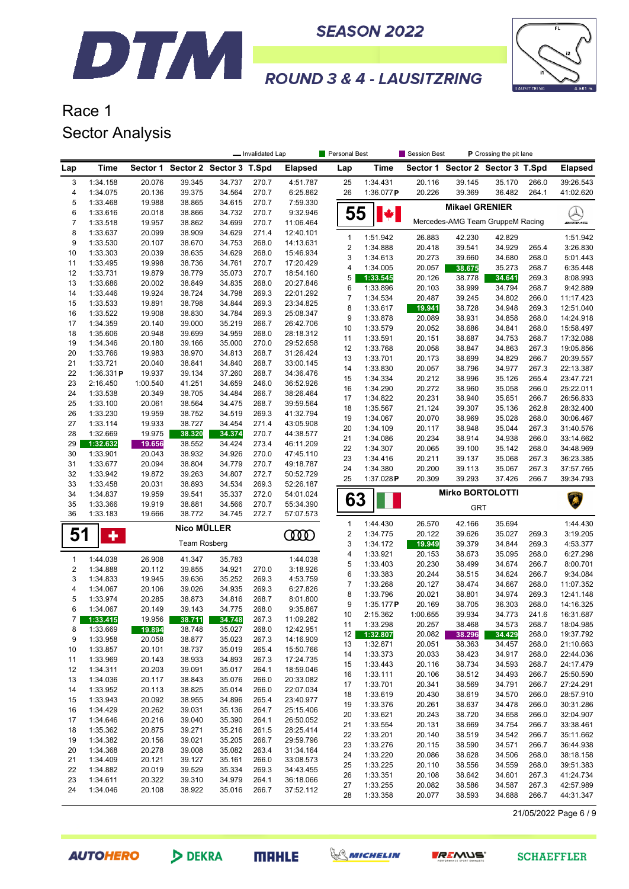



## Race 1 Sector Analysis

DTM

|                         |                      |                  |                                  |                  | - Invalidated Lap |                        | Personal Best         |                      | Session Best     | P Crossing the pit lane |                                  |                |                        |
|-------------------------|----------------------|------------------|----------------------------------|------------------|-------------------|------------------------|-----------------------|----------------------|------------------|-------------------------|----------------------------------|----------------|------------------------|
| Lap                     | Time                 |                  | Sector 1 Sector 2 Sector 3 T.Spd |                  |                   | <b>Elapsed</b>         | Lap                   | Time                 |                  |                         | Sector 1 Sector 2 Sector 3 T.Spd |                | <b>Elapsed</b>         |
| 3                       | 1:34.158             | 20.076           | 39.345                           | 34.737           | 270.7             | 4:51.787               | 25                    | 1:34.431             | 20.116           | 39.145                  | 35.170                           | 266.0          | 39:26.543              |
| 4                       | 1:34.075             | 20.136           | 39.375                           | 34.564           | 270.7             | 6:25.862               | 26                    | 1:36.077P            | 20.226           | 39.369                  | 36.482                           | 264.1          | 41:02.620              |
| 5                       | 1:33.468             | 19.988           | 38.865                           | 34.615           | 270.7             | 7:59.330               |                       |                      |                  | <b>Mikael GRENIER</b>   |                                  |                |                        |
| 6                       | 1:33.616             | 20.018           | 38.866                           | 34.732           | 270.7             | 9:32.946               | 55                    | ¥I                   |                  |                         |                                  |                | $\lambda$              |
| 7                       | 1:33.518             | 19.957           | 38.862                           | 34.699           | 270.7             | 11:06.464              |                       |                      |                  |                         | Mercedes-AMG Team GruppeM Racing |                | <b>MIANG</b>           |
| 8                       | 1:33.637             | 20.099           | 38.909                           | 34.629           | 271.4             | 12:40.101              | $\mathbf{1}$          | 1:51.942             | 26.883           | 42.230                  | 42.829                           |                | 1:51.942               |
| 9                       | 1:33.530             | 20.107           | 38.670                           | 34.753           | 268.0             | 14:13.631              | 2                     | 1:34.888             | 20.418           | 39.541                  | 34.929                           | 265.4          | 3:26.830               |
| 10<br>11                | 1:33.303<br>1:33.495 | 20.039<br>19.998 | 38.635<br>38.736                 | 34.629<br>34.761 | 268.0<br>270.7    | 15:46.934<br>17:20.429 | 3                     | 1:34.613             | 20.273           | 39.660                  | 34.680                           | 268.0          | 5:01.443               |
| 12                      | 1:33.731             | 19.879           | 38.779                           | 35.073           | 270.7             | 18:54.160              | 4                     | 1:34.005             | 20.057           | 38.675                  | 35.273                           | 268.7          | 6:35.448               |
| 13                      | 1:33.686             | 20.002           | 38.849                           | 34.835           | 268.0             | 20:27.846              | 5                     | 1:33.545             | 20.126           | 38.778                  | 34.641                           | 269.3          | 8:08.993               |
| 14                      | 1:33.446             | 19.924           | 38.724                           | 34.798           | 269.3             | 22:01.292              | 6                     | 1:33.896             | 20.103           | 38.999                  | 34.794                           | 268.7          | 9:42.889               |
| 15                      | 1:33.533             | 19.891           | 38.798                           | 34.844           | 269.3             | 23:34.825              | 7                     | 1:34.534             | 20.487           | 39.245                  | 34.802                           | 266.0          | 11:17.423              |
| 16                      | 1:33.522             | 19.908           | 38.830                           | 34.784           | 269.3             | 25:08.347              | 8                     | 1:33.617             | 19.941           | 38.728                  | 34.948                           | 269.3          | 12:51.040              |
| 17                      | 1:34.359             | 20.140           | 39.000                           | 35.219           | 266.7             | 26:42.706              | 9<br>10               | 1:33.878<br>1:33.579 | 20.089<br>20.052 | 38.931<br>38.686        | 34.858<br>34.841                 | 268.0<br>268.0 | 14:24.918<br>15:58.497 |
| 18                      | 1:35.606             | 20.948           | 39.699                           | 34.959           | 268.0             | 28:18.312              | 11                    | 1:33.591             | 20.151           | 38.687                  | 34.753                           | 268.7          | 17:32.088              |
| 19                      | 1:34.346             | 20.180           | 39.166                           | 35.000           | 270.0             | 29:52.658              | 12                    | 1:33.768             | 20.058           | 38.847                  | 34.863                           | 267.3          | 19:05.856              |
| 20                      | 1:33.766             | 19.983           | 38.970                           | 34.813           | 268.7             | 31:26.424              | 13                    | 1:33.701             | 20.173           | 38.699                  | 34.829                           | 266.7          | 20:39.557              |
| 21                      | 1:33.721             | 20.040           | 38.841                           | 34.840           | 268.7             | 33:00.145              | 14                    | 1:33.830             | 20.057           | 38.796                  | 34.977                           | 267.3          | 22:13.387              |
| 22                      | 1:36.331P            | 19.937           | 39.134                           | 37.260           | 268.7             | 34:36.476              | 15                    | 1:34.334             | 20.212           | 38.996                  | 35.126                           | 265.4          | 23:47.721              |
| 23                      | 2:16.450             | 1:00.540         | 41.251                           | 34.659           | 246.0             | 36:52.926              | 16                    | 1:34.290             | 20.272           | 38.960                  | 35.058                           | 266.0          | 25:22.011              |
| 24                      | 1:33.538             | 20.349           | 38.705                           | 34.484           | 266.7             | 38:26.464              | 17                    | 1:34.822             | 20.231           | 38.940                  | 35.651                           | 266.7          | 26:56.833              |
| 25                      | 1:33.100             | 20.061           | 38.564                           | 34.475           | 268.7             | 39:59.564              | 18                    | 1:35.567             | 21.124           | 39.307                  | 35.136                           | 262.8          | 28:32.400              |
| 26                      | 1:33.230             | 19.959           | 38.752                           | 34.519           | 269.3             | 41:32.794              | 19                    | 1:34.067             | 20.070           | 38.969                  | 35.028                           | 268.0          | 30:06.467              |
| 27<br>28                | 1:33.114<br>1:32.669 | 19.933<br>19.975 | 38.727                           | 34.454           | 271.4<br>270.7    | 43:05.908<br>44:38.577 | 20                    | 1:34.109             | 20.117           | 38.948                  | 35.044                           | 267.3          | 31:40.576              |
| 29                      | 1:32.632             | 19.656           | 38.320<br>38.552                 | 34.374<br>34.424 | 273.4             | 46:11.209              | 21                    | 1:34.086             | 20.234           | 38.914                  | 34.938                           | 266.0          | 33:14.662              |
| 30                      | 1:33.901             | 20.043           | 38.932                           | 34.926           | 270.0             | 47:45.110              | 22                    | 1:34.307             | 20.065           | 39.100                  | 35.142                           | 268.0          | 34:48.969              |
| 31                      | 1:33.677             | 20.094           | 38.804                           | 34.779           | 270.7             | 49:18.787              | 23                    | 1:34.416             | 20.211           | 39.137                  | 35.068                           | 267.3          | 36:23.385              |
| 32                      | 1:33.942             | 19.872           | 39.263                           | 34.807           | 272.7             | 50:52.729              | 24                    | 1:34.380             | 20.200           | 39.113                  | 35.067                           | 267.3          | 37:57.765              |
| 33                      | 1:33.458             | 20.031           | 38.893                           | 34.534           | 269.3             | 52:26.187              | 25                    | 1:37.028P            | 20.309           | 39.293                  | 37.426                           | 266.7          | 39:34.793              |
| 34                      | 1:34.837             | 19.959           | 39.541                           | 35.337           | 272.0             | 54:01.024              |                       |                      |                  | <b>Mirko BORTOLOTTI</b> |                                  |                |                        |
| 35                      | 1:33.366             | 19.919           | 38.881                           | 34.566           | 270.7             | 55:34.390              | 63                    |                      |                  | <b>GRT</b>              |                                  |                | Â                      |
| 36                      | 1:33.183             | 19.666           | 38.772                           | 34.745           | 272.7             | 57:07.573              |                       |                      |                  |                         |                                  |                |                        |
|                         |                      |                  | Nico MÜLLER                      |                  |                   |                        | $\mathbf{1}$          | 1:44.430             | 26.570           | 42.166                  | 35.694                           |                | 1:44.430               |
| 51                      | $\ddot{\phantom{1}}$ |                  | <b>Team Rosberg</b>              |                  |                   | <b>COOD</b>            | $\boldsymbol{2}$<br>3 | 1:34.775<br>1:34.172 | 20.122           | 39.626<br>39.379        | 35.027<br>34.844                 | 269.3<br>269.3 | 3:19.205<br>4:53.377   |
|                         |                      |                  |                                  |                  |                   |                        | 4                     | 1:33.921             | 19.949<br>20.153 | 38.673                  | 35.095                           | 268.0          | 6:27.298               |
| 1                       | 1:44.038             | 26.908           | 41.347                           | 35.783           |                   | 1:44.038               | 5                     | 1:33.403             | 20.230           | 38.499                  | 34.674                           | 266.7          | 8:00.701               |
| $\overline{\mathbf{c}}$ | 1:34.888             | 20.112           | 39.855                           | 34.921           | 270.0             | 3:18.926               | 6                     | 1:33.383             | 20.244           | 38.515                  | 34.624                           | 266.7          | 9:34.084               |
| 3                       | 1:34.833             | 19.945           | 39.636                           | 35.252           | 269.3             | 4:53.759               | $\overline{7}$        | 1:33.268             | 20.127           | 38.474                  | 34.667                           | 268.0          | 11:07.352              |
| 4                       | 1:34.067             | 20.106           | 39.026                           | 34.935           | 269.3             | 6:27.826               | 8                     | 1:33.796             | 20.021           | 38.801                  | 34.974                           | 269.3          | 12:41.148              |
| 5                       | 1:33.974             | 20.285           | 38.873                           | 34.816           | 268.7             | 8:01.800               | 9                     | 1:35.177P            | 20.169           | 38.705                  | 36.303                           | 268.0          | 14:16.325              |
| 6                       | 1:34.067             | 20.149           | 39.143                           | 34.775           | 268.0             | 9:35.867               | 10                    | 2:15.362             | 1:00.655         | 39.934                  | 34.773                           | 241.6          | 16:31.687              |
| $\overline{7}$          | 1:33.415             | 19.956           | 38.711                           | 34.748           | 267.3             | 11:09.282              | 11                    | 1:33.298             | 20.257           | 38.468                  | 34.573                           | 268.7          | 18:04.985              |
| 8<br>9                  | 1:33.669<br>1:33.958 | 19.894<br>20.058 | 38.748<br>38.877                 | 35.027<br>35.023 | 268.0<br>267.3    | 12:42.951<br>14:16.909 | 12                    | 1:32.807             | 20.082           | 38.296                  | 34.429                           | 268.0          | 19:37.792              |
| 10                      | 1:33.857             | 20.101           | 38.737                           | 35.019           | 265.4             | 15:50.766              | 13                    | 1:32.871             | 20.051           | 38.363                  | 34.457                           | 268.0          | 21:10.663              |
| 11                      | 1:33.969             | 20.143           | 38.933                           | 34.893           | 267.3             | 17:24.735              | 14                    | 1:33.373             | 20.033           | 38.423                  | 34.917                           | 268.0          | 22:44.036              |
| 12                      | 1:34.311             | 20.203           | 39.091                           | 35.017           | 264.1             | 18:59.046              | 15                    | 1:33.443             | 20.116           | 38.734                  | 34.593                           | 268.7          | 24:17.479              |
| 13                      | 1:34.036             | 20.117           | 38.843                           | 35.076           | 266.0             | 20:33.082              | 16                    | 1:33.111             | 20.106           | 38.512                  | 34.493                           | 266.7          | 25:50.590              |
| 14                      | 1:33.952             | 20.113           | 38.825                           | 35.014           | 266.0             | 22:07.034              | 17                    | 1:33.701             | 20.341           | 38.569                  | 34.791                           | 266.7          | 27:24.291              |
| 15                      | 1:33.943             | 20.092           | 38.955                           | 34.896           | 265.4             | 23:40.977              | 18                    | 1:33.619             | 20.430           | 38.619                  | 34.570                           | 266.0          | 28:57.910              |
| 16                      | 1:34.429             | 20.262           | 39.031                           | 35.136           | 264.7             | 25:15.406              | 19                    | 1:33.376             | 20.261           | 38.637                  | 34.478                           | 266.0          | 30:31.286              |
| 17                      | 1:34.646             | 20.216           | 39.040                           | 35.390           | 264.1             | 26:50.052              | 20                    | 1:33.621             | 20.243           | 38.720                  | 34.658                           | 266.0          | 32:04.907              |
| 18                      | 1:35.362             | 20.875           | 39.271                           | 35.216           | 261.5             | 28:25.414              | 21                    | 1:33.554             | 20.131           | 38.669                  | 34.754                           | 266.7          | 33:38.461              |
| 19                      | 1:34.382             | 20.156           | 39.021                           | 35.205           | 266.7             | 29:59.796              | 22<br>23              | 1:33.201<br>1:33.276 | 20.140<br>20.115 | 38.519<br>38.590        | 34.542<br>34.571                 | 266.7<br>266.7 | 35:11.662<br>36:44.938 |
| 20                      | 1:34.368             | 20.278           | 39.008                           | 35.082           | 263.4             | 31:34.164              | 24                    | 1:33.220             | 20.086           | 38.628                  | 34.506                           | 268.0          | 38:18.158              |
| 21                      | 1:34.409             | 20.121           | 39.127                           | 35.161           | 266.0             | 33:08.573              | 25                    | 1:33.225             | 20.110           | 38.556                  | 34.559                           | 268.0          | 39:51.383              |
| 22                      | 1:34.882             | 20.019           | 39.529                           | 35.334           | 269.3             | 34:43.455              | 26                    | 1:33.351             | 20.108           | 38.642                  | 34.601                           | 267.3          | 41:24.734              |
| 23                      | 1:34.611             | 20.322           | 39.310                           | 34.979           | 264.1             | 36:18.066              | 27                    | 1:33.255             | 20.082           | 38.586                  | 34.587                           | 267.3          | 42:57.989              |
| 24                      | 1:34.046             | 20.108           | 38.922                           | 35.016           | 266.7             | 37:52.112              | 28                    | 1:33.358             | 20.077           | 38.593                  | 34.688                           | 266.7          | 44:31.347              |
|                         |                      |                  |                                  |                  |                   |                        |                       |                      |                  |                         |                                  |                |                        |

21/05/2022 Page 6 / 9

**AUTOHERO** 

DEKRA





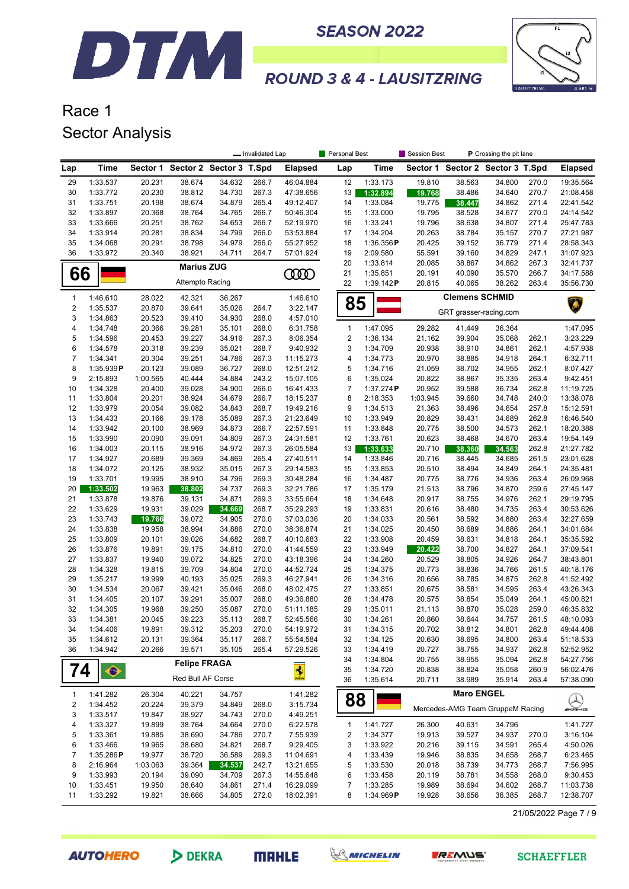

**SEASON 2022** 



## **ROUND 3 & 4 - LAUSITZRING**

## Race 1 Sector Analysis

|                         |                          |                    |                                  |                  | - Invalidated Lap |                        | Personal Best                    |                       | <b>Session Best</b> |                                  | P Crossing the pit lane |                |                        |
|-------------------------|--------------------------|--------------------|----------------------------------|------------------|-------------------|------------------------|----------------------------------|-----------------------|---------------------|----------------------------------|-------------------------|----------------|------------------------|
| Lap                     | Time                     |                    | Sector 1 Sector 2 Sector 3 T.Spd |                  |                   | <b>Elapsed</b>         | Lap                              | <b>Time</b>           | Sector 1            |                                  | Sector 2 Sector 3 T.Spd |                | <b>Elapsed</b>         |
| 29                      | 1:33.537                 | 20.231             | 38.674                           | 34.632           | 266.7             | 46:04.884              | 12                               | 1:33.173              | 19.810              | 38.563                           | 34.800                  | 270.0          | 19:35.564              |
| 30                      | 1:33.772                 | 20.230             | 38.812                           | 34.730           | 267.3             | 47:38.656              | 13                               | 1:32.894              | 19.768              | 38.486                           | 34.640                  | 270.7          | 21:08.458              |
| 31                      | 1:33.751                 | 20.198             | 38.674                           | 34.879           | 265.4             | 49:12.407              | 14                               | 1:33.084              | 19.775              | 38.447                           | 34.862                  | 271.4          | 22:41.542              |
| 32                      | 1:33.897                 | 20.368             | 38.764                           | 34.765           | 266.7             | 50:46.304              | 15                               | 1:33.000              | 19.795              | 38.528                           | 34.677                  | 270.0          | 24:14.542              |
| 33                      | 1:33.666                 | 20.251             | 38.762                           | 34.653           | 266.7             | 52:19.970              | 16                               | 1:33.241              | 19.796              | 38.638                           | 34.807                  | 271.4          | 25:47.783              |
| 34                      | 1:33.914                 | 20.281             | 38.834                           | 34.799           | 266.0             | 53:53.884              | 17                               | 1:34.204              | 20.263              | 38.784                           | 35.157                  | 270.7<br>271.4 | 27:21.987              |
| 35<br>36                | 1:34.068<br>1:33.972     | 20.291<br>20.340   | 38.798<br>38.921                 | 34.979<br>34.711 | 266.0<br>264.7    | 55:27.952<br>57:01.924 | 18<br>19                         | 1:36.356P<br>2:09.580 | 20.425<br>55.591    | 39.152<br>39.160                 | 36.779<br>34.829        | 247.1          | 28:58.343<br>31:07.923 |
|                         |                          |                    |                                  |                  |                   |                        | 20                               | 1:33.814              | 20.085              | 38.867                           | 34.862                  | 267.3          | 32:41.737              |
| 66                      |                          |                    | <b>Marius ZUG</b>                |                  |                   | 0000                   | 21                               | 1:35.851              | 20.191              | 40.090                           | 35.570                  | 266.7          | 34:17.588              |
|                         |                          |                    | Attempto Racing                  |                  |                   |                        | 22                               | 1:39.142P             | 20.815              | 40.065                           | 38.262                  | 263.4          | 35:56.730              |
| 1                       | 1:46.610                 | 28.022             | 42.321                           | 36.267           |                   | 1:46.610               | 85                               |                       |                     | <b>Clemens SCHMID</b>            |                         |                | Ŵ                      |
| $\overline{\mathbf{c}}$ | 1:35.537                 | 20.870             | 39.641                           | 35.026           | 264.7             | 3:22.147               |                                  |                       |                     | GRT grasser-racing.com           |                         |                |                        |
| 3                       | 1:34.863                 | 20.523             | 39.410                           | 34.930           | 268.0             | 4:57.010               |                                  |                       |                     |                                  |                         |                |                        |
| 4                       | 1:34.748                 | 20.366             | 39.281                           | 35.101           | 268.0             | 6:31.758               | $\mathbf{1}$<br>$\boldsymbol{2}$ | 1:47.095              | 29.282              | 41.449                           | 36.364                  |                | 1:47.095               |
| 5<br>6                  | 1:34.596<br>1:34.578     | 20.453<br>20.318   | 39.227<br>39.239                 | 34.916<br>35.021 | 267.3<br>268.7    | 8:06.354<br>9:40.932   | 3                                | 1:36.134<br>1:34.709  | 21.162<br>20.938    | 39.904<br>38.910                 | 35.068<br>34.861        | 262.1<br>262.1 | 3:23.229<br>4:57.938   |
| $\overline{7}$          | 1:34.341                 | 20.304             | 39.251                           | 34.786           | 267.3             | 11:15.273              | 4                                | 1:34.773              | 20.970              | 38.885                           | 34.918                  | 264.1          | 6:32.711               |
| 8                       | 1:35.939P                | 20.123             | 39.089                           | 36.727           | 268.0             | 12:51.212              | 5                                | 1:34.716              | 21.059              | 38.702                           | 34.955                  | 262.1          | 8:07.427               |
| 9                       | 2:15.893                 | 1:00.565           | 40.444                           | 34.884           | 243.2             | 15:07.105              | 6                                | 1:35.024              | 20.822              | 38.867                           | 35.335                  | 263.4          | 9:42.451               |
| 10                      | 1:34.328                 | 20.400             | 39.028                           | 34.900           | 266.0             | 16:41.433              | $\overline{7}$                   | 1:37.274P             | 20.952              | 39.588                           | 36.734                  | 262.8          | 11:19.725              |
| 11                      | 1:33.804                 | 20.201             | 38.924                           | 34.679           | 266.7             | 18:15.237              | 8                                | 2:18.353              | 1:03.945            | 39.660                           | 34.748                  | 240.0          | 13:38.078              |
| 12                      | 1:33.979                 | 20.054             | 39.082                           | 34.843           | 268.7             | 19:49.216              | 9                                | 1:34.513              | 21.363              | 38.496                           | 34.654                  | 257.8          | 15:12.591              |
| 13                      | 1:34.433                 | 20.166             | 39.178                           | 35.089           | 267.3             | 21:23.649              | 10                               | 1:33.949              | 20.829              | 38.431                           | 34.689                  | 262.8          | 16:46.540              |
| 14                      | 1:33.942                 | 20.100             | 38.969                           | 34.873           | 266.7             | 22:57.591              | 11                               | 1:33.848              | 20.775              | 38.500                           | 34.573                  | 262.1          | 18:20.388              |
| 15                      | 1:33.990                 | 20.090             | 39.091                           | 34.809           | 267.3             | 24:31.581              | 12                               | 1:33.761              | 20.623              | 38.468                           | 34.670                  | 263.4          | 19:54.149              |
| 16                      | 1:34.003                 | 20.115             | 38.916                           | 34.972           | 267.3             | 26:05.584              | 13                               | 1:33.633              | 20.710              | 38.360                           | 34.563                  | 262.8          | 21:27.782              |
| 17                      | 1:34.927                 | 20.689             | 39.369                           | 34.869           | 265.4             | 27:40.511              | 14                               | 1:33.846              | 20.716              | 38.445                           | 34.685                  | 261.5          | 23:01.628              |
| 18                      | 1:34.072                 | 20.125             | 38.932                           | 35.015           | 267.3             | 29:14.583              | 15                               | 1:33.853              | 20.510              | 38.494                           | 34.849                  | 264.1          | 24:35.481              |
| 19                      | 1:33.701                 | 19.995             | 38.910                           | 34.796           | 269.3             | 30:48.284              | 16                               | 1:34.487              | 20.775              | 38.776                           | 34.936                  | 263.4          | 26:09.968              |
| 20                      | 1:33.502                 | 19.963             | 38.802                           | 34.737           | 269.3             | 32:21.786              | 17                               | 1:35.179              | 21.513              | 38.796                           | 34.870                  | 259.6          | 27:45.147              |
| 21                      | 1:33.878                 | 19.876             | 39.131                           | 34.871           | 269.3             | 33:55.664              | 18                               | 1:34.648              | 20.917              | 38.755                           | 34.976                  | 262.1          | 29:19.795              |
| 22                      | 1:33.629                 | 19.931             | 39.029                           | 34.669           | 268.7             | 35:29.293              | 19                               | 1:33.831              | 20.616              | 38.480                           | 34.735                  | 263.4          | 30:53.626              |
| 23                      | 1:33.743                 | 19.766             | 39.072                           | 34.905           | 270.0             | 37:03.036              | 20                               | 1:34.033              | 20.561              | 38.592                           | 34.880                  | 263.4          | 32:27.659              |
| 24<br>25                | 1:33.838                 | 19.958             | 38.994<br>39.026                 | 34.886<br>34.682 | 270.0<br>268.7    | 38:36.874              | 21<br>22                         | 1:34.025              | 20.450<br>20.459    | 38.689                           | 34.886                  | 264.1<br>264.1 | 34:01.684              |
| 26                      | 1:33.809<br>1:33.876     | 20.101<br>19.891   | 39.175                           | 34.810           | 270.0             | 40:10.683<br>41:44.559 | 23                               | 1:33.908<br>1:33.949  | 20.422              | 38.631<br>38.700                 | 34.818<br>34.827        | 264.1          | 35:35.592<br>37:09.541 |
| 27                      | 1:33.837                 | 19.940             | 39.072                           | 34.825           | 270.0             | 43:18.396              | 24                               | 1:34.260              | 20.529              | 38.805                           | 34.926                  | 264.7          | 38:43.801              |
| 28                      | 1:34.328                 | 19.815             | 39.709                           | 34.804           | 270.0             | 44:52.724              | 25                               | 1:34.375              | 20.773              | 38.836                           | 34.766                  | 261.5          | 40:18.176              |
| 29                      | 1:35.217                 | 19.999             | 40.193                           | 35.025           | 269.3             | 46:27.941              | 26                               | 1:34.316              | 20.656              | 38.785                           | 34.875                  | 262.8          | 41:52.492              |
| 30                      | 1:34.534                 | 20.067             | 39.421                           | 35.046           | 268.0             | 48:02.475              | 27                               | 1:33.851              | 20.675              | 38.581                           | 34.595                  | 263.4          | 43:26.343              |
| 31                      | 1:34.405                 | 20.107             | 39.291                           | 35.007           | 268.0             | 49:36.880              | 28                               | 1:34.478              | 20.575              | 38.854                           | 35.049                  | 264.1          | 45:00.821              |
| 32                      | 1:34.305                 | 19.968             | 39.250                           | 35.087           | 270.0             | 51:11.185              | 29                               | 1:35.011              | 21.113              | 38.870                           | 35.028                  | 259.0          | 46:35.832              |
| 33                      | 1:34.381                 | 20.045             | 39.223                           | 35.113           | 268.7             | 52:45.566              | 30                               | 1:34.261              | 20.860              | 38.644                           | 34.757                  | 261.5          | 48:10.093              |
| 34                      | 1:34.406                 | 19.891             | 39.312                           | 35.203           | 270.0             | 54:19.972              | 31                               | 1:34.315              | 20.702              | 38.812                           | 34.801                  | 262.8          | 49:44.408              |
| 35                      | 1:34.612                 | 20.131             | 39.364                           | 35.117           | 266.7             | 55:54.584              | 32                               | 1:34.125              | 20.630              | 38.695                           | 34.800                  | 263.4          | 51:18.533              |
| 36                      | 1:34.942                 | 20.266             | 39.571                           | 35.105           | 265.4             | 57:29.526              | 33                               | 1:34.419              | 20.727              | 38.755                           | 34.937                  | 262.8          | 52:52.952              |
|                         |                          |                    | <b>Felipe FRAGA</b>              |                  |                   |                        | 34                               | 1:34.804              | 20.755              | 38.955                           | 35.094                  | 262.8          | 54:27.756              |
| 74                      | $\bullet$                |                    |                                  |                  |                   | $\frac{1}{2}$          | 35                               | 1:34.720              | 20.838              | 38.824                           | 35.058                  | 260.9          | 56:02.476              |
|                         |                          |                    | Red Bull AF Corse                |                  |                   |                        | 36                               | 1:35.614              | 20.711              | 38.989                           | 35.914                  | 263.4          | 57:38.090              |
| 1                       | 1:41.282                 | 26.304             | 40.221                           | 34.757           |                   | 1:41.282               | 88                               |                       |                     | <b>Maro ENGEL</b>                |                         |                |                        |
| 2                       | 1:34.452                 | 20.224             | 39.379                           | 34.849           | 268.0             | 3:15.734               |                                  |                       |                     | Mercedes-AMG Team GruppeM Racing |                         |                | <u>Q</u>               |
| 3                       | 1:33.517                 | 19.847             | 38.927                           | 34.743           | 270.0             | 4:49.251               |                                  |                       |                     |                                  |                         |                |                        |
| 4                       | 1:33.327                 | 19.899             | 38.764                           | 34.664           | 270.0             | 6:22.578               | $\mathbf{1}$                     | 1:41.727              | 26.300              | 40.631                           | 34.796                  |                | 1:41.727               |
| 5                       | 1:33.361                 | 19.885             | 38.690                           | 34.786           | 270.7             | 7:55.939               | 2                                | 1:34.377              | 19.913              | 39.527                           | 34.937                  | 270.0          | 3:16.104               |
| 6                       | 1:33.466                 | 19.965             | 38.680                           | 34.821           | 268.7             | 9:29.405               | 3                                | 1:33.922              | 20.216              | 39.115                           | 34.591                  | 265.4          | 4:50.026               |
| 7<br>8                  | $1:35.286$ P<br>2:16.964 | 19.977             | 38.720                           | 36.589<br>34.537 | 269.3             | 11:04.691              | 4                                | 1:33.439              | 19.946              | 38.835                           | 34.658                  | 268.7          | 6:23.465               |
| 9                       | 1:33.993                 | 1:03.063<br>20.194 | 39.364<br>39.090                 | 34.709           | 242.7<br>267.3    | 13:21.655<br>14:55.648 | 5<br>6                           | 1:33.530<br>1:33.458  | 20.018<br>20.119    | 38.739<br>38.781                 | 34.773<br>34.558        | 268.7<br>268.0 | 7:56.995<br>9:30.453   |
| 10                      | 1:33.451                 | 19.950             | 38.640                           | 34.861           | 271.4             | 16:29.099              | 7                                | 1:33.285              | 19.989              | 38.694                           | 34.602                  | 268.7          | 11:03.738              |
| 11                      | 1:33.292                 | 19.821             | 38.666                           | 34.805           | 272.0             | 18:02.391              | 8                                | 1:34.969P             | 19.928              | 38.656                           | 36.385                  | 268.7          | 12:38.707              |
|                         |                          |                    |                                  |                  |                   |                        |                                  |                       |                     |                                  |                         |                |                        |

21/05/2022 Page 7 / 9

**AUTOHERO** 







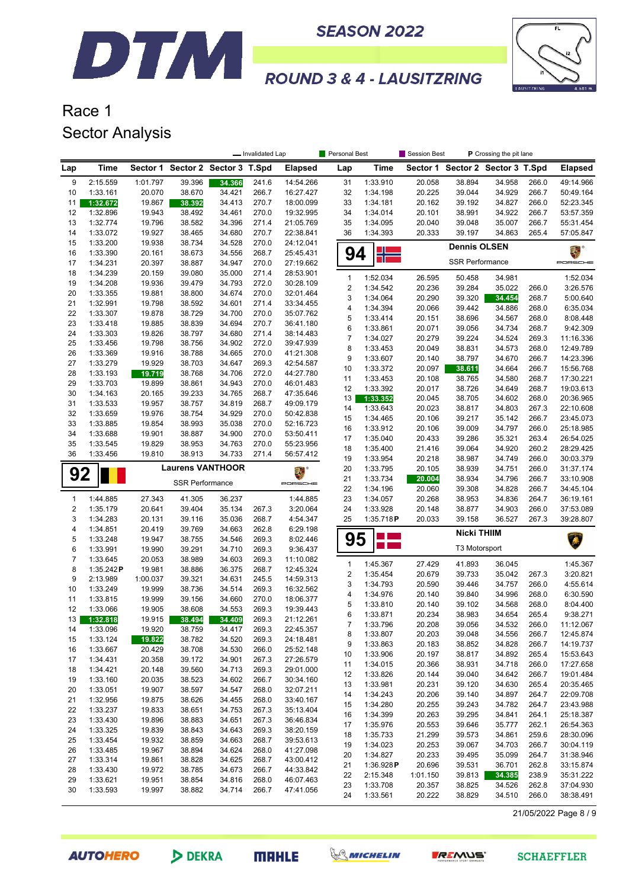

**SEASON 2022** 



# **ROUND 3 & 4 - LAUSITZRING**

#### Race 1 Sector Analysis

|              |                      | P Crossing the pit lane<br>- Invalidated Lap<br>Personal Best<br>Session Best |                                  |        |                |                |                          |             |          |                        |                         |       |                |
|--------------|----------------------|-------------------------------------------------------------------------------|----------------------------------|--------|----------------|----------------|--------------------------|-------------|----------|------------------------|-------------------------|-------|----------------|
| Lap          | Time                 |                                                                               | Sector 1 Sector 2 Sector 3 T.Spd |        |                | <b>Elapsed</b> | Lap                      | <b>Time</b> | Sector 1 |                        | Sector 2 Sector 3 T.Spd |       | <b>Elapsed</b> |
| 9            | 2:15.559             | 1:01.797                                                                      | 39.396                           | 34.366 | 241.6          | 14:54.266      | 31                       | 1:33.910    | 20.058   | 38.894                 | 34.958                  | 266.0 | 49:14.966      |
| 10           | 1:33.161             | 20.070                                                                        | 38.670                           | 34.421 | 266.7          | 16:27.427      | 32                       | 1:34.198    | 20.225   | 39.044                 | 34.929                  | 266.7 | 50:49.164      |
| 11           | 1:32.672             | 19.867                                                                        | 38.392                           | 34.413 | 270.7          | 18:00.099      | 33                       | 1:34.181    | 20.162   | 39.192                 | 34.827                  | 266.0 | 52:23.345      |
| 12           | 1:32.896             | 19.943                                                                        | 38.492                           | 34.461 | 270.0          | 19:32.995      | 34                       | 1:34.014    | 20.101   | 38.991                 | 34.922                  | 266.7 | 53:57.359      |
| 13           | 1:32.774             | 19.796                                                                        | 38.582                           | 34.396 | 271.4          | 21:05.769      | 35                       | 1:34.095    | 20.040   | 39.048                 | 35.007                  | 266.7 | 55:31.454      |
| 14           | 1:33.072             | 19.927                                                                        | 38.465                           | 34.680 | 270.7          | 22:38.841      | 36                       | 1:34.393    | 20.333   | 39.197                 | 34.863                  | 265.4 | 57:05.847      |
| 15           | 1:33.200             | 19.938                                                                        | 38.734                           | 34.528 | 270.0          | 24:12.041      |                          |             |          | <b>Dennis OLSEN</b>    |                         |       |                |
| 16           | 1:33.390             | 20.161                                                                        | 38.673                           | 34.556 | 268.7          | 25:45.431      | 94                       |             |          |                        |                         |       | 美国             |
| 17           | 1:34.231             | 20.397                                                                        | 38.887                           | 34.947 | 270.0          | 27:19.662      |                          |             |          | <b>SSR Performance</b> |                         |       | PORSCHE        |
| 18           | 1:34.239             | 20.159                                                                        | 39.080                           | 35.000 | 271.4          | 28:53.901      | $\mathbf{1}$             | 1:52.034    | 26.595   | 50.458                 | 34.981                  |       | 1:52.034       |
| 19           | 1:34.208             | 19.936                                                                        | 39.479                           | 34.793 | 272.0          | 30:28.109      | $\sqrt{2}$               | 1:34.542    | 20.236   | 39.284                 | 35.022                  | 266.0 | 3:26.576       |
| 20           | 1:33.355             | 19.881                                                                        | 38.800                           | 34.674 | 270.0          | 32:01.464      | 3                        | 1:34.064    | 20.290   | 39.320                 | 34.454                  | 268.7 | 5:00.640       |
| 21           | 1:32.991             | 19.798                                                                        | 38.592                           | 34.601 | 271.4          | 33:34.455      | 4                        | 1:34.394    | 20.066   | 39.442                 | 34.886                  | 268.0 | 6:35.034       |
| 22           | 1:33.307             | 19.878                                                                        | 38.729                           | 34.700 | 270.0          | 35:07.762      | 5                        | 1:33.414    | 20.151   | 38.696                 | 34.567                  | 268.0 | 8:08.448       |
| 23           | 1:33.418             | 19.885                                                                        | 38.839                           | 34.694 | 270.7          | 36:41.180      | 6                        | 1:33.861    | 20.071   | 39.056                 | 34.734                  | 268.7 | 9:42.309       |
| 24           | 1:33.303             | 19.826                                                                        | 38.797                           | 34.680 | 271.4          | 38:14.483      | $\overline{\mathcal{I}}$ | 1:34.027    | 20.279   | 39.224                 | 34.524                  | 269.3 | 11:16.336      |
| 25           | 1:33.456             | 19.798                                                                        | 38.756                           | 34.902 | 272.0          | 39:47.939      | 8                        | 1:33.453    | 20.049   | 38.831                 | 34.573                  | 268.0 | 12:49.789      |
| 26           | 1:33.369             | 19.916                                                                        | 38.788                           | 34.665 | 270.0          | 41:21.308      | 9                        | 1:33.607    | 20.140   | 38.797                 | 34.670                  | 266.7 | 14:23.396      |
| 27           | 1:33.279             | 19.929                                                                        | 38.703                           | 34.647 | 269.3          | 42:54.587      | 10                       | 1:33.372    | 20.097   | 38.611                 | 34.664                  | 266.7 | 15:56.768      |
| 28           | 1:33.193             | 19.719                                                                        | 38.768                           | 34.706 | 272.0          | 44:27.780      | 11                       | 1:33.453    | 20.108   | 38.765                 | 34.580                  | 268.7 | 17:30.221      |
| 29           | 1:33.703             | 19.899                                                                        | 38.861                           | 34.943 | 270.0          | 46:01.483      | 12                       | 1:33.392    | 20.017   | 38.726                 | 34.649                  | 268.7 | 19:03.613      |
| 30           | 1:34.163             | 20.165                                                                        | 39.233                           | 34.765 | 268.7          | 47:35.646      | 13                       | 1:33.352    | 20.045   | 38.705                 | 34.602                  | 268.0 | 20:36.965      |
| 31           | 1:33.533             | 19.957                                                                        | 38.757                           | 34.819 | 268.7          | 49:09.179      | 14                       | 1:33.643    | 20.023   | 38.817                 | 34.803                  | 267.3 | 22:10.608      |
| 32           | 1:33.659             | 19.976                                                                        | 38.754                           | 34.929 | 270.0          | 50:42.838      | 15                       | 1:34.465    | 20.106   | 39.217                 | 35.142                  | 266.7 | 23:45.073      |
| 33           | 1:33.885             | 19.854                                                                        | 38.993                           | 35.038 | 270.0          | 52:16.723      | 16                       | 1:33.912    | 20.106   | 39.009                 | 34.797                  | 266.0 | 25:18.985      |
| 34           | 1:33.688             | 19.901                                                                        | 38.887                           | 34.900 | 270.0          | 53:50.411      | 17                       | 1:35.040    | 20.433   | 39.286                 | 35.321                  | 263.4 | 26:54.025      |
| 35           | 1:33.545             | 19.829                                                                        | 38.953                           | 34.763 | 270.0          | 55:23.956      | 18                       | 1:35.400    | 21.416   | 39.064                 | 34.920                  | 260.2 | 28:29.425      |
| 36           | 1:33.456             | 19.810                                                                        | 38.913                           | 34.733 | 271.4          | 56:57.412      | 19                       | 1:33.954    | 20.218   | 38.987                 | 34.749                  | 266.0 | 30:03.379      |
|              |                      |                                                                               | <b>Laurens VANTHOOR</b>          |        |                | э.             | 20                       | 1:33.795    | 20.105   | 38.939                 | 34.751                  | 266.0 | 31:37.174      |
| 92           |                      |                                                                               | <b>SSR Performance</b>           |        |                |                | 21                       | 1:33.734    | 20.004   | 38.934                 | 34.796                  | 266.7 | 33:10.908      |
|              |                      |                                                                               |                                  |        |                | PORSCHE        | 22                       | 1:34.196    | 20.060   | 39.308                 | 34.828                  | 266.7 | 34:45.104      |
| $\mathbf{1}$ | 1:44.885             | 27.343                                                                        | 41.305                           | 36.237 |                | 1:44.885       | 23                       | 1:34.057    | 20.268   | 38.953                 | 34.836                  | 264.7 | 36:19.161      |
| $\sqrt{2}$   | 1:35.179             | 20.641                                                                        | 39.404                           | 35.134 | 267.3          | 3:20.064       | 24                       | 1:33.928    | 20.148   | 38.877                 | 34.903                  | 266.0 | 37:53.089      |
| 3            | 1:34.283             | 20.131                                                                        | 39.116                           | 35.036 | 268.7          | 4:54.347       | 25                       | 1:35.718P   | 20.033   | 39.158                 | 36.527                  | 267.3 | 39:28.807      |
| 4            | 1:34.851             | 20.419                                                                        | 39.769                           | 34.663 | 262.8          | 6:29.198       |                          |             |          | <b>Nicki THIIM</b>     |                         |       |                |
| 5            | 1:33.248             | 19.947                                                                        | 38.755                           | 34.546 | 269.3          | 8:02.446       | 95                       | n l         |          |                        |                         |       |                |
| 6            | 1:33.991             | 19.990                                                                        | 39.291                           | 34.710 | 269.3          | 9:36.437       |                          |             |          | T3 Motorsport          |                         |       |                |
| 7            | 1:33.645             | 20.053                                                                        | 38.989                           | 34.603 | 269.3          | 11:10.082      | $\mathbf{1}$             | 1:45.367    | 27.429   | 41.893                 | 36.045                  |       | 1:45.367       |
| 8            | 1:35.242P            | 19.981                                                                        | 38.886                           | 36.375 | 268.7          | 12:45.324      | $\overline{\mathbf{c}}$  | 1:35.454    | 20.679   | 39.733                 | 35.042                  | 267.3 | 3:20.821       |
| 9            | 2:13.989             | 1:00.037                                                                      | 39.321                           | 34.631 | 245.5          | 14:59.313      | 3                        | 1:34.793    | 20.590   | 39.446                 | 34.757                  | 266.0 | 4:55.614       |
| 10           | 1:33.249             | 19.999                                                                        | 38.736                           | 34.514 | 269.3          | 16:32.562      | 4                        | 1:34.976    | 20.140   | 39.840                 | 34.996                  | 268.0 | 6:30.590       |
| 11           | 1:33.815             | 19.999                                                                        | 39.156                           | 34.660 | 270.0          | 18:06.377      | 5                        | 1:33.810    | 20.140   | 39.102                 | 34.568                  | 268.0 | 8:04.400       |
| 12           | 1:33.066             | 19.905                                                                        | 38.608                           | 34.553 | 269.3          | 19:39.443      | 6                        | 1:33.871    | 20.234   | 38.983                 | 34.654                  | 265.4 | 9:38.271       |
| 13           | 1:32.818             | 19.915                                                                        | 38.494                           | 34.409 | 269.3          | 21:12.261      | 7                        | 1:33.796    | 20.208   | 39.056                 | 34.532                  | 266.0 | 11:12.067      |
| 14           | 1:33.096             | 19.920                                                                        | 38.759                           | 34.417 | 269.3          | 22:45.357      | 8                        | 1:33.807    | 20.203   | 39.048                 | 34.556                  | 266.7 | 12:45.874      |
| 15           | 1:33.124             | 19.822                                                                        | 38.782                           | 34.520 | 269.3          | 24:18.481      | 9                        | 1:33.863    | 20.183   | 38.852                 | 34.828                  | 266.7 | 14:19.737      |
| 16           | 1:33.667             | 20.429                                                                        | 38.708                           | 34.530 | 266.0          | 25:52.148      | 10                       | 1:33.906    | 20.197   | 38.817                 | 34.892                  | 265.4 | 15:53.643      |
| 17           | 1:34.431             | 20.358                                                                        | 39.172                           | 34.901 | 267.3          | 27:26.579      | 11                       | 1:34.015    | 20.366   | 38.931                 | 34.718                  | 266.0 | 17:27.658      |
| 18           | 1:34.421             | 20.148                                                                        | 39.560                           | 34.713 | 269.3          | 29:01.000      | 12                       | 1:33.826    | 20.144   | 39.040                 | 34.642                  | 266.7 | 19:01.484      |
| 19           | 1:33.160             | 20.035                                                                        | 38.523                           | 34.602 | 266.7          | 30:34.160      | 13                       | 1:33.981    | 20.231   | 39.120                 | 34.630                  | 265.4 | 20:35.465      |
| 20           | 1:33.051             | 19.907                                                                        | 38.597                           | 34.547 | 268.0          | 32:07.211      | 14                       | 1:34.243    | 20.206   | 39.140                 | 34.897                  | 264.7 | 22:09.708      |
| 21           | 1:32.956             | 19.875                                                                        | 38.626                           | 34.455 | 268.0          | 33:40.167      | 15                       | 1:34.280    | 20.255   | 39.243                 | 34.782                  | 264.7 | 23:43.988      |
| 22           | 1:33.237             | 19.833                                                                        | 38.651                           | 34.753 | 267.3          | 35:13.404      | 16                       | 1:34.399    | 20.263   | 39.295                 | 34.841                  | 264.1 | 25:18.387      |
| 23           | 1:33.430             | 19.896                                                                        | 38.883                           | 34.651 | 267.3          | 36:46.834      | 17                       | 1:35.976    | 20.553   | 39.646                 | 35.777                  | 262.1 | 26:54.363      |
| 24           | 1:33.325             | 19.839                                                                        | 38.843                           | 34.643 | 269.3          | 38:20.159      | 18                       | 1:35.733    | 21.299   | 39.573                 | 34.861                  | 259.6 | 28:30.096      |
| 25           | 1:33.454             | 19.932                                                                        | 38.859                           | 34.663 | 268.7          | 39:53.613      | 19                       | 1:34.023    | 20.253   | 39.067                 | 34.703                  | 266.7 | 30:04.119      |
| 26           | 1:33.485             | 19.967                                                                        | 38.894                           | 34.624 | 268.0          | 41:27.098      | 20                       | 1:34.827    | 20.233   | 39.495                 | 35.099                  | 264.7 | 31:38.946      |
| 27           | 1:33.314             | 19.861                                                                        | 38.828                           | 34.625 | 268.7          | 43:00.412      | 21                       | 1:36.928P   | 20.696   | 39.531                 | 36.701                  | 262.8 | 33:15.874      |
| 28           | 1:33.430             | 19.972                                                                        | 38.785                           | 34.673 | 266.7          | 44:33.842      | 22                       | 2:15.348    | 1:01.150 | 39.813                 | 34.385                  | 238.9 | 35:31.222      |
| 29<br>30     | 1:33.621<br>1:33.593 | 19.951                                                                        | 38.854                           | 34.816 | 268.0<br>266.7 | 46:07.463      | 23                       | 1:33.708    | 20.357   | 38.825                 | 34.526                  | 262.8 | 37:04.930      |
|              |                      | 19.997                                                                        | 38.882                           | 34.714 |                | 47:41.056      | 24                       | 1:33.561    | 20.222   | 38.829                 | 34.510                  | 266.0 | 38:38.491      |
|              |                      |                                                                               |                                  |        |                |                |                          |             |          |                        |                         |       |                |

21/05/2022 Page 8 / 9

**AUTOHERO** 

DEKRA

**MRHLE**